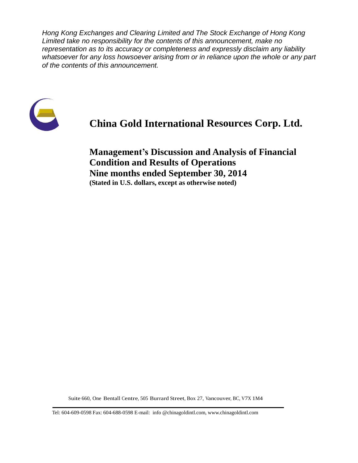*Hong Kong Exchanges and Clearing Limited and The Stock Exchange of Hong Kong Limited take no responsibility for the contents of this announcement, make no representation as to its accuracy or completeness and expressly disclaim any liability whatsoever for any loss howsoever arising from or in reliance upon the whole or any part of the contents of this announcement.*



# **China Gold International Resources Corp. Ltd.**

**Management's Discussion and Analysis of Financial Condition and Results of Operations Nine months ended September 30, 2014 (Stated in U.S. dollars, except as otherwise noted)**

Suite 660, One Bentall Centre, 505 Burrard Street, Box 27, Vancouver, BC, V7X 1M4

Tel: 604-609-0598 Fax: 604-688-0598 E-mail: info @chinagoldintl.com, [www.chinagoldintl.com](http://www.chinagoldintl.com/)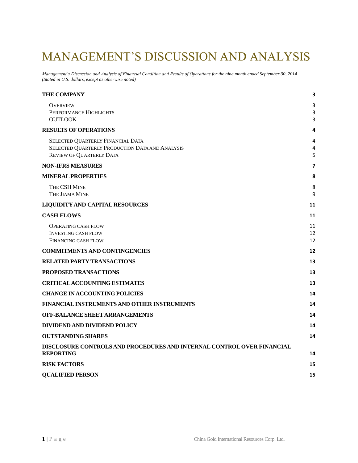# MANAGEMENT'S DISCUSSION AND ANALYSIS

*Management's Discussion and Analysis of Financial Condition and Results of Operations for the nine month ended September 30, 2014 (Stated in U.S. dollars, except as otherwise noted)*

| <b>THE COMPANY</b>                                                                         | 3      |
|--------------------------------------------------------------------------------------------|--------|
| <b>OVERVIEW</b>                                                                            | 3      |
| PERFORMANCE HIGHLIGHTS<br><b>OUTLOOK</b>                                                   | 3<br>3 |
| <b>RESULTS OF OPERATIONS</b>                                                               | 4      |
|                                                                                            |        |
| SELECTED QUARTERLY FINANCIAL DATA<br>SELECTED QUARTERLY PRODUCTION DATA AND ANALYSIS       | 4<br>4 |
| REVIEW OF QUARTERLY DATA                                                                   | 5      |
| <b>NON-IFRS MEASURES</b>                                                                   | 7      |
| <b>MINERAL PROPERTIES</b>                                                                  | 8      |
| THE CSH MINE                                                                               | 8      |
| THE JIAMA MINE                                                                             | 9      |
| <b>LIQUIDITY AND CAPITAL RESOURCES</b>                                                     | 11     |
| <b>CASH FLOWS</b>                                                                          | 11     |
| <b>OPERATING CASH FLOW</b>                                                                 | 11     |
| <b>INVESTING CASH FLOW</b>                                                                 | 12     |
| FINANCING CASH FLOW                                                                        | 12     |
| <b>COMMITMENTS AND CONTINGENCIES</b>                                                       | 12     |
| <b>RELATED PARTY TRANSACTIONS</b>                                                          | 13     |
| <b>PROPOSED TRANSACTIONS</b>                                                               | 13     |
| <b>CRITICAL ACCOUNTING ESTIMATES</b>                                                       | 13     |
| <b>CHANGE IN ACCOUNTING POLICIES</b>                                                       | 14     |
| <b>FINANCIAL INSTRUMENTS AND OTHER INSTRUMENTS</b>                                         | 14     |
| OFF-BALANCE SHEET ARRANGEMENTS                                                             | 14     |
| DIVIDEND AND DIVIDEND POLICY                                                               | 14     |
| <b>OUTSTANDING SHARES</b>                                                                  | 14     |
| DISCLOSURE CONTROLS AND PROCEDURES AND INTERNAL CONTROL OVER FINANCIAL<br><b>REPORTING</b> | 14     |
| <b>RISK FACTORS</b>                                                                        | 15     |
| <b>QUALIFIED PERSON</b>                                                                    | 15     |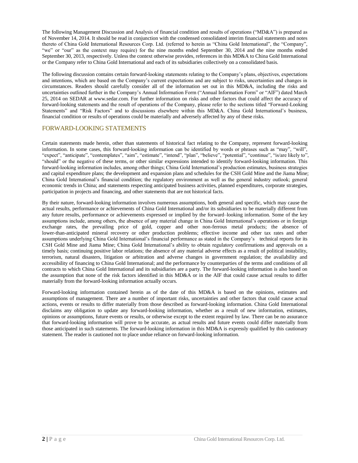The following Management Discussion and Analysis of financial condition and results of operations ("MD&A") is prepared as of November 14, 2014. It should be read in conjunction with the condensed consolidated interim financial statements and notes thereto of China Gold International Resources Corp. Ltd. (referred to herein as "China Gold International", the "Company", "we" or "our" as the context may require) for the nine months ended September 30, 2014 and the nine months ended September 30, 2013, respectively. Unless the context otherwise provides, references in this MD&A to China Gold International or the Company refer to China Gold International and each of its subsidiaries collectively on a consolidated basis.

The following discussion contains certain forward-looking statements relating to the Company's plans, objectives, expectations and intentions, which are based on the Company's current expectations and are subject to risks, uncertainties and changes in circumstances. Readers should carefully consider all of the information set out in this MD&A, including the risks and uncertainties outlined further in the Company's Annual Information Form ("Annual Information Form" or "AIF") dated March 25, 2014 on SEDAR at www.sedar.com. For further information on risks and other factors that could affect the accuracy of forward-looking statements and the result of operations of the Company, please refer to the sections titled "Forward-Looking Statements" and "Risk Factors" and to discussions elsewhere within this MD&A. China Gold International's business, financial condition or results of operations could be materially and adversely affected by any of these risks.

### FORWARD-LOOKING STATEMENTS

Certain statements made herein, other than statements of historical fact relating to the Company, represent forward-looking information. In some cases, this forward-looking information can be identified by words or phrases such as "may", "will", "expect", "anticipate", "contemplates", "aim", "estimate", "intend", "plan", "believe", "potential", "continue", "is/are likely to", "should" or the negative of these terms, or other similar expressions intended to identify forward-looking information. This forward-looking information includes, among other things; China Gold International's production estimates, business strategies and capital expenditure plans; the development and expansion plans and schedules for the CSH Gold Mine and the Jiama Mine; China Gold International's financial condition; the regulatory environment as well as the general industry outlook; general economic trends in China; and statements respecting anticipated business activities, planned expenditures, corporate strategies, participation in projects and financing, and other statements that are not historical facts.

By their nature, forward-looking information involves numerous assumptions, both general and specific, which may cause the actual results, performance or achievements of China Gold International and/or its subsidiaries to be materially different from any future results, performance or achievements expressed or implied by the forward–looking information. Some of the key assumptions include, among others, the absence of any material change in China Gold International's operations or in foreign exchange rates, the prevailing price of gold, copper and other non-ferrous metal products; the absence of lower-than-anticipated mineral recovery or other production problems; effective income and other tax rates and other assumptions underlying China Gold International's financial performance as stated in the Company's technical reports for its CSH Gold Mine and Jiama Mine; China Gold International's ability to obtain regulatory confirmations and approvals on a timely basis; continuing positive labor relations; the absence of any material adverse effects as a result of political instability, terrorism, natural disasters, litigation or arbitration and adverse changes in government regulation; the availability and accessibility of financing to China Gold International; and the performance by counterparties of the terms and conditions of all contracts to which China Gold International and its subsidiaries are a party. The forward-looking information is also based on the assumption that none of the risk factors identified in this MD&A or in the AIF that could cause actual results to differ materially from the forward-looking information actually occurs.

Forward-looking information contained herein as of the date of this MD&A is based on the opinions, estimates and assumptions of management. There are a number of important risks, uncertainties and other factors that could cause actual actions, events or results to differ materially from those described as forward-looking information. China Gold International disclaims any obligation to update any forward-looking information, whether as a result of new information, estimates, opinions or assumptions, future events or results, or otherwise except to the extent required by law. There can be no assurance that forward-looking information will prove to be accurate, as actual results and future events could differ materially from those anticipated in such statements. The forward-looking information in this MD&A is expressly qualified by this cautionary statement. The reader is cautioned not to place undue reliance on forward-looking information.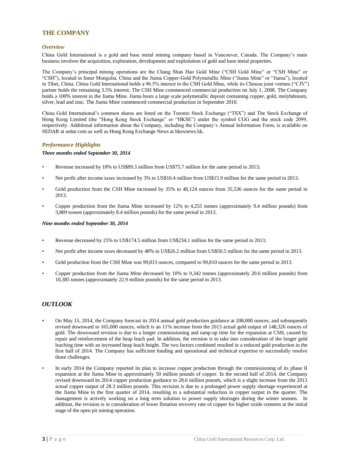### <span id="page-3-0"></span>**THE COMPANY**

#### <span id="page-3-1"></span>*Overview*

China Gold International is a gold and base metal mining company based in Vancouver, Canada. The Company's main business involves the acquisition, exploration, development and exploitation of gold and base metal properties.

The Company's principal mining operations are the Chang Shan Hao Gold Mine ("CSH Gold Mine" or "CSH Mine" or "CSH"), located in Inner Mongolia, China and the Jiama Copper-Gold Polymetallic Mine ("Jiama Mine" or "Jiama"), located in Tibet, China. China Gold International holds a 96.5% interest in the CSH Gold Mine, while its Chinese joint venture ("CJV") partner holds the remaining 3.5% interest. The CSH Mine commenced commercial production on July 1, 2008. The Company holds a 100% interest in the Jiama Mine. Jiama hosts a large scale polymetallic deposit containing copper, gold, molybdenum, silver, lead and zinc. The Jiama Mine commenced commercial production in September 2010.

China Gold International's common shares are listed on the Toronto Stock Exchange ("TSX") and The Stock Exchange of Hong Kong Limited (the "Hong Kong Stock Exchange" or "HKSE") under the symbol CGG and the stock code 2099, respectively. Additional information about the Company, including the Company's Annual Information Form, is available on SEDAR at sedar.com as well as Hong Kong Exchange News at hkexnews.hk.

#### <span id="page-3-2"></span>*Performance Highlights*

#### *Three months ended September 30, 2014*

- Revenue increased by 18% to US\$89.3 million from US\$75.7 million for the same period in 2013;
- Net profit after income taxes increased by 3% to US\$16.4 million from US\$15.9 million for the same period in 2013.
- Gold production from the CSH Mine increased by 35% to 48,124 ounces from 35,536 ounces for the same period in 2013.
- Copper production from the Jiama Mine increased by 12% to 4,255 tonnes (approximately 9.4 million pounds) from 3,809 tonnes (approximately 8.4 million pounds) for the same period in 2013.

#### *Nine months ended September 30, 2014*

- Revenue decreased by 25% to US\$174.5 million from US\$234.1 million for the same period in 2013;
- Net profit after income taxes decreased by 48% to US\$26.2 million from US\$50.5 million for the same period in 2013.
- Gold production from the CSH Mine was 99,813 ounces, compared to 99,810 ounces for the same period in 2013.
- Copper production from the Jiama Mine decreased by 10% to 9,342 tonnes (approximately 20.6 million pounds) from 10,385 tonnes (approximately 22.9 million pounds) for the same period in 2013.

#### <span id="page-3-3"></span>*OUTLOOK*

- On May 15, 2014, the Company forecast its 2014 annual gold production guidance at 208,000 ounces, and subsequently revised downward to 165,000 ounces, which is an 11% increase from the 2013 actual gold output of 148,326 ounces of gold. The downward revision is due to a longer commissioning and ramp-up time for the expansion at CSH, caused by repair and reinforcement of the heap leach pad. In addition, the revision is to take into consideration of the longer gold leaching time with an increased heap leach height. The two factors combined resulted in a reduced gold production in the first half of 2014. The Company has sufficient funding and operational and technical expertise to successfully resolve those challenges.
- In early 2014 the Company reported its plan to increase copper production through the commissioning of its phase II expansion at the Jiama Mine to approximately 50 million pounds of copper. In the second half of 2014, the Company revised downward its 2014 copper production guidance to 28.6 million pounds, which is a slight increase from the 2013 actual copper output of 28.3 million pounds. This revision is due to a prolonged power supply shortage experienced at the Jiama Mine in the first quarter of 2014, resulting in a substantial reduction in copper output in the quarter. The management is actively working on a long term solution to power supply shortages during the winter seasons. In addition, the revision is in consideration of lower flotation recovery rate of copper for higher oxide contents at the initial stage of the open pit mining operation.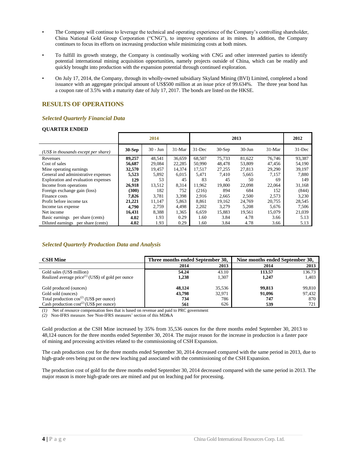- The Company will continue to leverage the technical and operating experience of the Company's controlling shareholder, China National Gold Group Corporation ("CNG"), to improve operations at its mines. In addition, the Company continues to focus its efforts on increasing production while minimizing costs at both mines.
- To fulfill its growth strategy, the Company is continually working with CNG and other interested parties to identify potential international mining acquisition opportunities, namely projects outside of China, which can be readily and quickly brought into production with the expansion potential through continued exploration.
- On July 17, 2014, the Company, through its wholly-owned subsidiary Skyland Mining (BVI) Limited, completed a bond issuance with an aggregate principal amount of US\$500 million at an issue price of 99.634%. The three year bond has a coupon rate of 3.5% with a maturity date of July 17, 2017. The bonds are listed on the HKSE.

### <span id="page-4-0"></span>**RESULTS OF OPERATIONS**

#### <span id="page-4-1"></span>*Selected Quarterly Financial Data*

#### **QUARTER ENDED**

|                                      |          | 2014       |          | 2013      |          |           |          | 2012       |
|--------------------------------------|----------|------------|----------|-----------|----------|-----------|----------|------------|
| (US\$ in thousands except per share) | $30-Sep$ | $30 - Jun$ | $31-Mar$ | $31$ -Dec | $30-Sep$ | $30-J$ un | $31-Mar$ | $31 - Dec$ |
| Revenues                             | 89,257   | 48,541     | 36,659   | 68,507    | 75,733   | 81,622    | 76,746   | 93,387     |
| Cost of sales                        | 56.687   | 29,084     | 22,285   | 50,990    | 48,478   | 53,809    | 47,456   | 54,190     |
| Mine operating earnings.             | 32,570   | 19.457     | 14,374   | 17.517    | 27,255   | 27,813    | 29,290   | 39.197     |
| General and administrative expenses  | 5,523    | 5,892      | 6,015    | 5,471     | 7.410    | 5,665     | 7,157    | 7,880      |
| Exploration and evaluation expenses  | 129      | 53         | 45       | 83        | 45       | 50        | 69       | 149        |
| Income from operations               | 26,918   | 13,512     | 8,314    | 11.962    | 19,800   | 22,098    | 22,064   | 31,168     |
| Foreign exchange gain (loss)         | (300)    | 182        | 752      | (216)     | 894      | 684       | 152      | (844)      |
| Finance costs                        | 7.826    | 3.781      | 3,398    | 2.916     | 2,665    | 2,500     | 2,573    | 3.230      |
| Profit before income tax             | 21,221   | 11,147     | 5,863    | 8.861     | 19,162   | 24,769    | 20,755   | 28,545     |
| Income tax expense                   | 4.790    | 2.759      | 4.498    | 2,202     | 3.279    | 5,208     | 5,676    | 7.506      |
| Net income                           | 16,431   | 8,388      | 1,365    | 6,659     | 15,883   | 19,561    | 15,079   | 21,039     |
| Basic earnings per share (cents)     | 4.02     | 1.93       | 0.29     | 1.60      | 3.84     | 4.78      | 3.66     | 5.13       |
| Diluted earnings per share (cents)   | 4.02     | 1.93       | 0.29     | 1.60      | 3.84     | 4.78      | 3.66     | 5.13       |

#### <span id="page-4-2"></span>*Selected Quarterly Production Data and Analysis*

| <b>CSH Mine</b>                                                | Three months ended September 30, |        | Nine months ended September 30, |        |  |  |
|----------------------------------------------------------------|----------------------------------|--------|---------------------------------|--------|--|--|
|                                                                | 2014                             | 2013   | 2014                            | 2013   |  |  |
| Gold sales (US\$ million)                                      | 54.24                            | 43.10  | 113.57                          | 136.73 |  |  |
| Realized average price <sup>(1)</sup> (US\$) of gold per ounce | 1.238                            | 1.307  | 1.247                           | 1,403  |  |  |
| Gold produced (ounces)                                         | 48.124                           | 35,536 | 99.813                          | 99,810 |  |  |
| Gold sold (ounces)                                             | 43,798                           | 32,971 | 91,096                          | 97,432 |  |  |
| Total production $cos^{(2)}$ (US\$ per ounce)                  | 734                              | 786    | 747                             | 870    |  |  |
| Cash production $cost^{(2)}$ (US\$ per ounce)                  | 561                              | 626    | 539                             | 721    |  |  |

*(1)* Net of resource compensation fees that is based on revenue and paid to PRC government

*(2)* Non-IFRS measure. See 'Non-IFRS measures' section of this MD&A

Gold production at the CSH Mine increased by 35% from 35,536 ounces for the three months ended September 30, 2013 to 48,124 ounces for the three months ended September 30, 2014. The major reason for the increase in production is a faster pace of mining and processing activities related to the commissioning of CSH Expansion.

The cash production cost for the three months ended September 30, 2014 decreased compared with the same period in 2013, due to high-grade ores being put on the new leaching pad associated with the commissioning of the CSH Expansion.

The production cost of gold for the three months ended September 30, 2014 decreased compared with the same period in 2013. The major reason is more high-grade ores are mined and put on leaching pad for processing.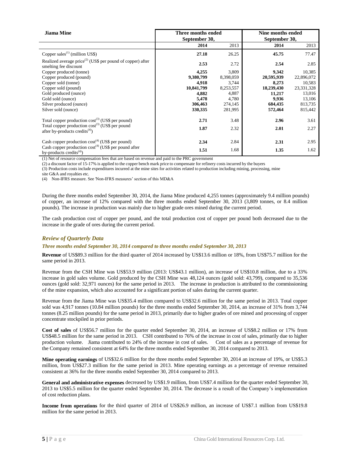| <b>Jiama</b> Mine                                                                                  | Three months ended<br>September 30, |           | Nine months ended<br>September 30, |            |  |
|----------------------------------------------------------------------------------------------------|-------------------------------------|-----------|------------------------------------|------------|--|
|                                                                                                    | 2014                                | 2013      | 2014                               | 2013       |  |
| Copper sales <sup><math>(1)</math></sup> (million US\$)                                            | 27.18                               | 26.25     | 45.75                              | 77.47      |  |
| Realized average $price^{(2)}$ (US\$ per pound of copper) after<br>smelting fee discount           | 2.53                                | 2.72      | 2.54                               | 2.85       |  |
| Copper produced (tonne)                                                                            | 4,255                               | 3,809     | 9,342                              | 10,385     |  |
| Copper produced (pound)                                                                            | 9,380,799                           | 8,398,059 | 20,595,939                         | 22,896,072 |  |
| Copper sold (tonne)                                                                                | 4,918                               | 3,744     | 8,273                              | 10,583     |  |
| Copper sold (pound)                                                                                | 10,841,799                          | 8,253,557 | 18,239,430                         | 23,331,328 |  |
| Gold produced (ounce)                                                                              | 4,882                               | 4,887     | 11,217                             | 13,016     |  |
| Gold sold (ounce)                                                                                  | 5,478                               | 4,780     | 9,936                              | 13,106     |  |
| Silver produced (ounce)                                                                            | 306,463                             | 274,145   | 684,435                            | 813,735    |  |
| Silver sold (ounce)                                                                                | 330,335                             | 281,995   | 572,464                            | 815,442    |  |
| Total copper production $cost^{(3)}$ (US\$ per pound)                                              | 2.71                                | 3.48      | 2.96                               | 3.61       |  |
| Total copper production $cost^{(3)}$ (US\$ per pound<br>after by-products credits <sup>(4)</sup> ) | 1.87                                | 2.32      | 2.01                               | 2.27       |  |
| Cash copper production $cost^{(4)}$ (US\$ per pound)                                               | 2.34                                | 2.84      | 2.31                               | 2.95       |  |
| Cash copper production $cost^{(4)}$ (US\$ per pound after<br>by-products credits <sup>(4)</sup> )  | 1.51                                | 1.68      | 1.35                               | 1.62       |  |

(1) Net of resource compensation fees that are based on revenue and paid to the PRC government

(2) a discount factor of 15-17% is applied to the copper bench mark price to compensate for refinery costs incurred by the buyers

(3) Production costs include expenditures incurred at the mine sites for activities related to production including mining, processing, mine

site G&A and royalties etc.

(4) Non-IFRS measure. See 'Non-IFRS measures' section of this MD&A

During the three months ended September 30, 2014, the Jiama Mine produced 4,255 tonnes (approximately 9.4 million pounds) of copper, an increase of 12% compared with the three months ended September 30, 2013 (3,809 tonnes, or 8.4 million pounds). The increase in production was mainly due to higher grade ores mined during the current period.

The cash production cost of copper per pound, and the total production cost of copper per pound both decreased due to the increase in the grade of ores during the current period.

#### <span id="page-5-0"></span>*Review of Quarterly Data*

#### *Three months ended September 30, 2014 compared to three months ended September 30, 2013*

**Revenue** of US\$89.3 million for the third quarter of 2014 increased by US\$13.6 million or 18%, from US\$75.7 million for the same period in 2013.

Revenue from the CSH Mine was US\$53.9 million (2013: US\$43.1 million), an increase of US\$10.8 million, due to a 33% increase in gold sales volume. Gold produced by the CSH Mine was 48,124 ounces (gold sold: 43,799), compared to 35,536 ounces (gold sold: 32,971 ounces) for the same period in 2013. The increase in production is attributed to the commissioning of the mine expansion, which also accounted for a significant portion of sales during the current quarter.

Revenue from the Jiama Mine was US\$35.4 million compared to US\$32.6 million for the same period in 2013. Total copper sold was 4,917 tonnes (10.84 million pounds) for the three months ended September 30, 2014, an increase of 31% from 3,744 tonnes (8.25 million pounds) for the same period in 2013, primarily due to higher grades of ore mined and processing of copper concentrate stockpiled in prior periods.

**Cost of sales** of US\$56.7 million for the quarter ended September 30, 2014, an increase of US\$8.2 million or 17% from US\$48.5 million for the same period in 2013. CSH contributed to 76% of the increase in cost of sales, primarily due to higher production volume. Jiama contributed to 24% of the increase in cost of sales. Cost of sales as a percentage of revenue for the Company remained consistent at 64% for the three months ended September 30, 2014 compared to 2013.

**Mine operating earnings** of US\$32.6 million for the three months ended September 30, 2014 an increase of 19%, or US\$5.3 million, from US\$27.3 million for the same period in 2013. Mine operating earnings as a percentage of revenue remained consistent at 36% for the three months ended September 30, 2014 compared to 2013.

**General and administrative expenses** decreased by US\$1.9 million, from US\$7.4 million for the quarter ended September 30, 2013 to US\$5.5 million for the quarter ended September 30, 2014. The decrease is a result of the Company's implementation of cost reduction plans.

**Income from operations** for the third quarter of 2014 of US\$26.9 million, an increase of US\$7.1 million from US\$19.8 million for the same period in 2013.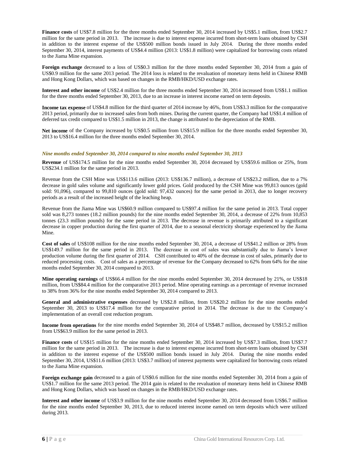**Finance costs** of US\$7.8 million for the three months ended September 30, 2014 increased by US\$5.1 million, from US\$2.7 million for the same period in 2013. The increase is due to interest expense incurred from short-term loans obtained by CSH in addition to the interest expense of the US\$500 million bonds issued in July 2014. During the three months ended September 30, 2014, interest payments of US\$4.4 million (2013: US\$1.8 million) were capitalized for borrowing costs related to the Jiama Mine expansion.

**Foreign exchange** decreased to a loss of US\$0.3 million for the three months ended September 30, 2014 from a gain of US\$0.9 million for the same 2013 period. The 2014 loss is related to the revaluation of monetary items held in Chinese RMB and Hong Kong Dollars, which was based on changes in the RMB/HKD/USD exchange rates.

**Interest and other income** of US\$2.4 million for the three months ended September 30, 2014 increased from US\$1.1 million for the three months ended September 30, 2013, due to an increase in interest income earned on term deposits.

**Income tax expense** of US\$4.8 million for the third quarter of 2014 increase by 46%, from US\$3.3 million for the comparative 2013 period, primarily due to increased sales from both mines. During the current quarter, the Company had US\$1.4 million of deferred tax credit compared to US\$1.5 million in 2013, the change is attributed to the depreciation of the RMB.

**Net income** of the Company increased by US\$0.5 million from US\$15.9 million for the three months ended September 30, 2013 to US\$16.4 million for the three months ended September 30, 2014.

#### *Nine months ended September 30, 2014 compared to nine months ended September 30, 2013*

**Revenue** of US\$174.5 million for the nine months ended September 30, 2014 decreased by US\$59.6 million or 25%, from US\$234.1 million for the same period in 2013.

Revenue from the CSH Mine was US\$113.6 million (2013: US\$136.7 million), a decrease of US\$23.2 million, due to a 7% decrease in gold sales volume and significantly lower gold prices. Gold produced by the CSH Mine was 99,813 ounces (gold sold: 91,096), compared to 99,810 ounces (gold sold: 97,432 ounces) for the same period in 2013, due to longer recovery periods as a result of the increased height of the leaching heap.

Revenue from the Jiama Mine was US\$60.9 million compared to US\$97.4 million for the same period in 2013. Total copper sold was 8,273 tonnes (18.2 million pounds) for the nine months ended September 30, 2014, a decrease of 22% from 10,853 tonnes (23.3 million pounds) for the same period in 2013. The decrease in revenue is primarily attributed to a significant decrease in copper production during the first quarter of 2014, due to a seasonal electricity shortage experienced by the Jiama Mine.

**Cost of sales** of US\$108 million for the nine months ended September 30, 2014, a decrease of US\$41.2 million or 28% from US\$149.7 million for the same period in 2013. The decrease in cost of sales was substantially due to Jiama's lower production volume during the first quarter of 2014. CSH contributed to 40% of the decrease in cost of sales, primarily due to reduced processing costs. Cost of sales as a percentage of revenue for the Company decreased to 62% from 64% for the nine months ended September 30, 2014 compared to 2013.

**Mine operating earnings** of US\$66.4 million for the nine months ended September 30, 2014 decreased by 21%, or US\$18 million, from US\$84.4 million for the comparative 2013 period. Mine operating earnings as a percentage of revenue increased to 38% from 36% for the nine months ended September 30, 2014 compared to 2013.

**General and administrative expenses** decreased by US\$2.8 million, from US\$20.2 million for the nine months ended September 30, 2013 to US\$17.4 million for the comparative period in 2014. The decrease is due to the Company's implementation of an overall cost reduction program.

**Income from operations** for the nine months ended September 30, 2014 of US\$48.7 million, decreased by US\$15.2 million from US\$63.9 million for the same period in 2013.

**Finance costs** of US\$15 million for the nine months ended September 30, 2014 increased by US\$7.3 million, from US\$7.7 million for the same period in 2013. The increase is due to interest expense incurred from short-term loans obtained by CSH in addition to the interest expense of the US\$500 million bonds issued in July 2014. During the nine months ended September 30, 2014, US\$11.6 million (2013: US\$3.7 million) of interest payments were capitalized for borrowing costs related to the Jiama Mine expansion.

**Foreign exchange gain** decreased to a gain of US\$0.6 million for the nine months ended September 30, 2014 from a gain of US\$1.7 million for the same 2013 period. The 2014 gain is related to the revaluation of monetary items held in Chinese RMB and Hong Kong Dollars, which was based on changes in the RMB/HKD/USD exchange rates.

**Interest and other income** of US\$3.9 million for the nine months ended September 30, 2014 decreased from US\$6.7 million for the nine months ended September 30, 2013, due to reduced interest income earned on term deposits which were utilized during 2013.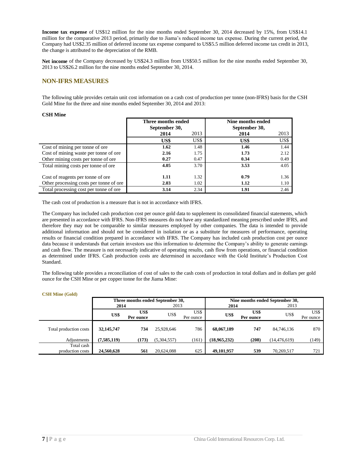**Income tax expense** of US\$12 million for the nine months ended September 30, 2014 decreased by 15%, from US\$14.1 million for the comparative 2013 period, primarily due to Jiama's reduced income tax expense. During the current period, the Company had US\$2.35 million of deferred income tax expense compared to US\$5.5 million deferred income tax credit in 2013, the change is attributed to the depreciation of the RMB.

**Net income** of the Company decreased by US\$24.3 million from US\$50.5 million for the nine months ended September 30, 2013 to US\$26.2 million for the nine months ended September 30, 2014.

### <span id="page-7-0"></span>**NON-IFRS MEASURES**

The following table provides certain unit cost information on a cash cost of production per tonne (non-IFRS) basis for the CSH Gold Mine for the three and nine months ended September 30, 2014 and 2013:

#### **CSH Mine**

|                                         | Three months ended<br>September 30, |      | Nine months ended<br>September 30, |      |
|-----------------------------------------|-------------------------------------|------|------------------------------------|------|
|                                         | 2014                                | 2013 | 2014                               | 2013 |
|                                         | US\$                                | US\$ | US\$                               | US\$ |
| Cost of mining per tonne of ore         | 1.62                                | 1.48 | 1.46                               | 1.44 |
| Cost of mining waste per tonne of ore   | 2.16                                | 1.75 | 1.73                               | 2.12 |
| Other mining costs per tonne of ore     | 0.27                                | 0.47 | 0.34                               | 0.49 |
| Total mining costs per tonne of ore     | 4.05                                | 3.70 | 3.53                               | 4.05 |
| Cost of reagents per tonne of ore       | 1.11                                | 1.32 | 0.79                               | 1.36 |
| Other processing costs per tonne of ore | 2.03                                | 1.02 | 1.12                               | 1.10 |
| Total processing cost per tonne of ore  | 3.14                                | 2.34 | 1.91                               | 2.46 |

The cash cost of production is a measure that is not in accordance with IFRS.

The Company has included cash production cost per ounce gold data to supplement its consolidated financial statements, which are presented in accordance with IFRS. Non-IFRS measures do not have any standardized meaning prescribed under IFRS, and therefore they may not be comparable to similar measures employed by other companies. The data is intended to provide additional information and should not be considered in isolation or as a substitute for measures of performance, operating results or financial condition prepared in accordance with IFRS. The Company has included cash production cost per ounce data because it understands that certain investors use this information to determine the Company's ability to generate earnings and cash flow. The measure is not necessarily indicative of operating results, cash flow from operations, or financial condition as determined under IFRS. Cash production costs are determined in accordance with the Gold Institute's Production Cost Standard.

The following table provides a reconciliation of cost of sales to the cash costs of production in total dollars and in dollars per gold ounce for the CSH Mine or per copper tonne for the Jiama Mine:

|                        |                   |           | Three months ended September 30, |           | Nine months ended September 30, |           |                |           |  |
|------------------------|-------------------|-----------|----------------------------------|-----------|---------------------------------|-----------|----------------|-----------|--|
|                        | 2014              |           | 2013                             |           | 2014                            |           | 2013           |           |  |
|                        | US\$              | US\$      | US\$                             | US\$      | US\$                            | US\$      | US\$           | US\$      |  |
|                        |                   | Per ounce |                                  | Per ounce |                                 | Per ounce |                | Per ounce |  |
|                        |                   |           |                                  |           |                                 |           |                |           |  |
| Total production costs | 32,145,747<br>734 |           | 25,928,646                       | 786       | 68,067,189                      | 747       | 84,746,136     | 870       |  |
| Adjustments            | (7,585,119)       | (173)     | (5,304,557)                      | (161)     | (18.965.232)                    | (208)     | (14, 476, 619) | (149)     |  |
| Total cash             |                   |           |                                  |           |                                 |           |                |           |  |
| production costs       | 24,560,628        | 561       | 20.624.088                       | 625       | 49,101,957                      | 539       | 70.269.517     | 721       |  |

#### **CSH Mine (Gold)**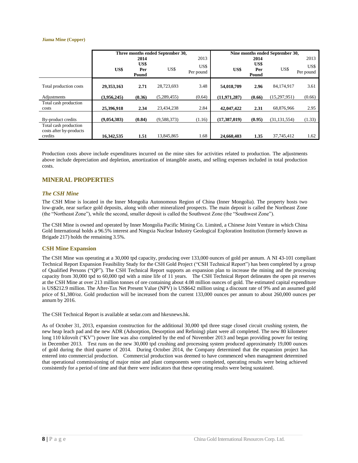#### **Jiama Mine (Copper)**

|                                                             |             |                              | Three months ended September 30, | Nine months ended September 30, |                |                              |                |                           |
|-------------------------------------------------------------|-------------|------------------------------|----------------------------------|---------------------------------|----------------|------------------------------|----------------|---------------------------|
|                                                             | US\$        | 2014<br>US\$<br>Per<br>Pound | US\$                             | 2013<br>US\$<br>Per pound       | US\$           | 2014<br>US\$<br>Per<br>Pound | US\$           | 2013<br>US\$<br>Per pound |
| Total production costs                                      | 29,353,163  | 2.71                         | 28,723,693                       | 3.48                            | 54,018,709     | 2.96                         | 84.174.917     | 3.61                      |
| Adjustments                                                 | (3,956,245) | (0.36)                       | (5,289,455)                      | (0.64)                          | (11, 971, 287) | (0.66)                       | (15, 297, 951) | (0.66)                    |
| Total cash production<br>costs                              | 25,396,918  | 2.34                         | 23,434,238                       | 2.84                            | 42,047,422     | 2.31                         | 68,876,966     | 2.95                      |
| By-product credits                                          | (9,054,383) | (0.84)                       | (9,588,373)                      | (1.16)                          | (17, 387, 019) | (0.95)                       | (31, 131, 554) | (1.33)                    |
| Total cash production<br>costs after by-products<br>credits | 16,342,535  | 1.51                         | 13,845,865                       | 1.68                            | 24,660,403     | 1.35                         | 37,745,412     | 1.62                      |

Production costs above include expenditures incurred on the mine sites for activities related to production. The adjustments above include depreciation and depletion, amortization of intangible assets, and selling expenses included in total production costs.

### <span id="page-8-0"></span>**MINERAL PROPERTIES**

#### <span id="page-8-1"></span>*The CSH Mine*

The CSH Mine is located in the Inner Mongolia Autonomous Region of China (Inner Mongolia). The property hosts two low-grade, near surface gold deposits, along with other mineralized prospects. The main deposit is called the Northeast Zone (the "Northeast Zone"), while the second, smaller deposit is called the Southwest Zone (the "Southwest Zone").

The CSH Mine is owned and operated by Inner Mongolia Pacific Mining Co. Limited, a Chinese Joint Venture in which China Gold International holds a 96.5% interest and Ningxia Nuclear Industry Geological Exploration Institution (formerly known as Brigade 217) holds the remaining 3.5%.

#### **CSH Mine Expansion**

The CSH Mine was operating at a 30,000 tpd capacity, producing over 133,000 ounces of gold per annum. A NI 43-101 compliant Technical Report Expansion Feasibility Study for the CSH Gold Project ("CSH Technical Report") has been completed by a group of Qualified Persons ("QP"). The CSH Technical Report supports an expansion plan to increase the mining and the processing capacity from 30,000 tpd to 60,000 tpd with a mine life of 11 years. The CSH Technical Report delineates the open pit reserves at the CSH Mine at over 213 million tonnes of ore containing about 4.08 million ounces of gold. The estimated capital expenditure is US\$212.9 million. The After-Tax Net Present Value (NPV) is US\$642 million using a discount rate of 9% and an assumed gold price of \$1,380/oz. Gold production will be increased from the current 133,000 ounces per annum to about 260,000 ounces per annum by 2016.

The CSH Technical Report is available at sedar.com and hkexnews.hk.

As of October 31, 2013, expansion construction for the additional 30,000 tpd three stage closed circuit crushing system, the new heap leach pad and the new ADR (Adsorption, Desorption and Refining) plant were all completed. The new 80 kilometer long 110 kilovolt ("KV") power line was also completed by the end of November 2013 and began providing power for testing in December 2013. Test runs on the new 30,000 tpd crushing and processing system produced approximately 19,000 ounces of gold during the third quarter of 2014. During October 2014, the Company determined that the expansion project has entered into commercial production. Commercial production was deemed to have commenced when management determined that operational commissioning of major mine and plant components were completed, operating results were being achieved consistently for a period of time and that there were indicators that these operating results were being sustained.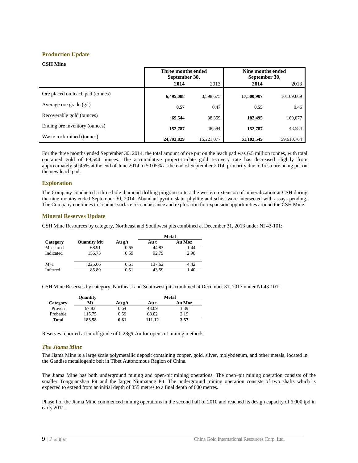#### **Production Update**

#### **CSH Mine**

|                                  | Three months ended<br>September 30, |            | Nine months ended<br>September 30, |            |  |
|----------------------------------|-------------------------------------|------------|------------------------------------|------------|--|
|                                  | 2014                                | 2013       | 2014                               | 2013       |  |
| Ore placed on leach pad (tonnes) | 6,495,088                           | 3,598,675  | 17,500,907                         | 10,109,669 |  |
| Average ore grade $(g/t)$        | 0.57                                | 0.47       | 0.55                               | 0.46       |  |
| Recoverable gold (ounces)        | 69,544                              | 38,359     | 182,495                            | 109,077    |  |
| Ending ore inventory (ounces)    | 152,787                             | 48,584     | 152,787                            | 48,584     |  |
| Waste rock mined (tonnes)        | 24,793,829                          | 15.221.077 | 61,102,549                         | 59.610.764 |  |

For the three months ended September 30, 2014, the total amount of ore put on the leach pad was 6.5 million tonnes, with total contained gold of 69,544 ounces. The accumulative project-to-date gold recovery rate has decreased slightly from approximately 50.45% at the end of June 2014 to 50.05% at the end of September 2014, primarily due to fresh ore being put on the new leach pad.

#### **Exploration**

The Company conducted a three hole diamond drilling program to test the western extension of mineralization at CSH during the nine months ended September 30, 2014. Abundant pyritic slate, phyllite and schist were intersected with assays pending. The Company continues to conduct surface reconnaissance and exploration for expansion opportunities around the CSH Mine.

#### **Mineral Reserves Update**

CSH Mine Resources by category, Northeast and Southwest pits combined at December 31, 2013 under NI 43-101:

|           |                    |        |        | Metal  |
|-----------|--------------------|--------|--------|--------|
| Category  | <b>Ouantity Mt</b> | Au g/t | Au t   | Au Moz |
| Measured  | 68.91              | 0.65   | 44.83  | 1.44   |
| Indicated | 156.75             | 0.59   | 92.79  | 2.98   |
| $M+I$     | 225.66             | 0.61   | 137.62 | 4.42   |
| Inferred  | 85.89              | 0.51   | 43.59  | .40    |

CSH Mine Reserves by category, Northeast and Southwest pits combined at December 31, 2013 under NI 43-101:

|          | <b>Quantity</b> |        | <b>Metal</b> |        |  |  |  |
|----------|-----------------|--------|--------------|--------|--|--|--|
| Category | Mt              | Au g/t | Au t         | Au Moz |  |  |  |
| Proven   | 67.83           | 0.64   | 43.09        | 1.39   |  |  |  |
| Probable | 115.75          | 0.59   | 68.02        | 2.19   |  |  |  |
| Total    | 183.58          | 0.61   | 111.12       | 3.57   |  |  |  |

<span id="page-9-0"></span>Reserves reported at cutoff grade of 0.28g/t Au for open cut mining methods

#### *The Jiama Mine*

The Jiama Mine is a large scale polymetallic deposit containing copper, gold, silver, molybdenum, and other metals, located in the Gandise metallogenic belt in Tibet Autonomous Region of China.

The Jiama Mine has both underground mining and open-pit mining operations. The open–pit mining operation consists of the smaller Tongqianshan Pit and the larger Niumatang Pit. The underground mining operation consists of two shafts which is expected to extend from an initial depth of 355 metres to a final depth of 600 metres.

Phase I of the Jiama Mine commenced mining operations in the second half of 2010 and reached its design capacity of 6,000 tpd in early 2011.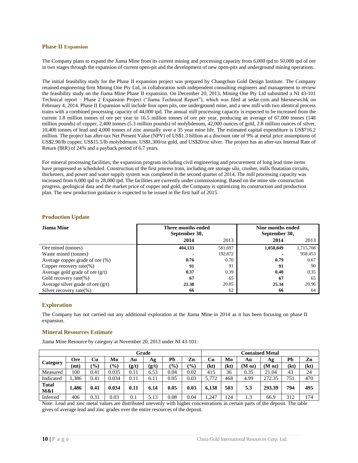#### **Phase II Expansion**

The Company plans to expand the Jiama Mine from its current mining and processing capacity from 6,000 tpd to 50,000 tpd of ore in two stages through the expansion of current open-pit and the development of new open-pits and underground mining operations.

The initial feasibility study for the Phase II expansion project was prepared by Changchun Gold Design Institute. The Company retained engineering firm Mining One Pty Ltd, in collaboration with independent consulting engineers and management to review the feasibility study on the Jiama Mine Phase II expansion. On December 20, 2013, Mining One Pty Ltd submitted a NI 43-101 Technical report – Phase 2 Expansion Project ("Jiama Technical Report"), which was filed at sedar.com and hkexnews.hk on February 4, 2014. Phase II Expansion will include four open pits, one underground mine, and a new mill with two identical process trains with a combined processing capacity of 44,000 tpd. The annual mill processing capacity is expected to be increased from the current 1.8 million tonnes of ore per year to 16.5 million tonnes of ore per year, producing an average of 67,000 tonnes (148 million pounds) of copper, 2,400 tonnes (5.3 million pounds) of molybdenum, 42,000 ounces of gold, 2.8 million ounces of silver, 10,400 tonnes of lead and 4,000 tonnes of zinc annually over a 35 year mine life. The estimated capital expenditure is US\$716.2 million. The project has after-tax Net Present Value (NPV) of US\$1.3 billion at a discount rate of 9% at metal price assumptions of US\$2.90/lb copper, US\$15.5/lb molybdenum, US\$1,300/oz gold, and US\$20/oz silver. The project has an after-tax Internal Rate of Return (IRR) of 24% and a payback period of 6.7 years.

For mineral processing facilities, the expansion program including civil engineering and procurement of long lead time items have progressed as scheduled. Construction of the first process train, including ore storage silo, crusher, mills floatation circuits, thickeners, and power and water supply system was completed in the second quarter of 2014. The mill processing capacity was increased from 6,000 tpd to 28,000 tpd. The facilities are currently under commissioning. Based on the mine site construction progress, geological data and the market price of copper and gold, the Company is optimizing its construction and production plan. The new production guidance is expected to be issued in the first half of 2015.

| Jiama Mine                          | Three months ended<br>September 30, |         | Nine months ended<br>September 30, |           |
|-------------------------------------|-------------------------------------|---------|------------------------------------|-----------|
|                                     | 2014                                | 2013    | 2014                               | 2013      |
| Ore mined (tonnes)                  | 404,133                             | 581,697 | 1,058,849                          | 1,715,708 |
| Waste mined (tonnes)                |                                     | 192,872 |                                    | 958,453   |
| Average copper grade of ore (%)     | 0.76                                | 0.70    | 0.79                               | 0.67      |
| Copper recovery rate $(\%)$         | 91                                  | 91      | 91                                 | 90        |
| Average gold grade of ore $(g/t)$   | 0.37                                | 0.39    | 0.40                               | 0.35      |
| Gold recovery rate $(\%)$           | 67                                  | 65      | 67                                 | 65        |
| Average silver grade of ore $(g/t)$ | 21.38                               | 20.85   | 25.34                              | 20.96     |
| Silver recovery rate $(\%)$         | 66                                  | 62      | 66                                 | 64        |

#### **Production Update**

#### **Exploration**

The Company has not carried out any additional exploration at the Jiama Mine in 2014 as it has been focusing on phase II expansion.

#### **Mineral Resources Estimate**

Jiama Mine Resource by category at November 20, 2013 under NI 43-101:

|                     | Grade |               |               |         |       |               |               |       |      |                    | <b>Contained Metal</b> |      |      |
|---------------------|-------|---------------|---------------|---------|-------|---------------|---------------|-------|------|--------------------|------------------------|------|------|
| Category            | Ore   | Cu            | Mo            | Au      | Ag    | Pb            | Zn            | Cu    | Mo   | Au                 | Ag                     | Pb   | Zn   |
|                     | (mt)  | $\frac{1}{2}$ | $\frac{9}{0}$ | (g/t)   | (g/t) | $\frac{1}{2}$ | $\frac{1}{2}$ | (kt)  | (kt) | (M <sub>oz</sub> ) | (M <sub>oz</sub> )     | (kt) | (kt) |
| Measured            | 100   | 0.41          | 0.035         | 0.11    | 6.53  | 0.04          | 0.02          | 415   | 36   | 0.35               | 21.04                  | 43   | 24   |
| Indicated           | .386  | 0.41          | 0.034         | 0.11    | 6.11  | 0.05          | 0.03          | 5.772 | 468  | 4.99               | 272.35                 | 751  | 470  |
| <b>Total</b><br>M&I | 1,486 | 0.41          | 0.034         | 0.11    | 6.14  | 0.05          | 0.03          | 6.138 | 503  | 5.3                | 293.39                 | 794  | 495  |
| Inferred            | 406   | 0.31          | 0.03          | $0.1\,$ | 5.13  | 0.08          | 0.04          | 1,247 | 124  | 1.3                | 66.9                   | 312  | 174  |

Note: Lead and zinc metal values are distributed unevenly with higher concentrations in certain parts of the deposit. The table gives of average lead and zinc grades over the entire resources of the deposit.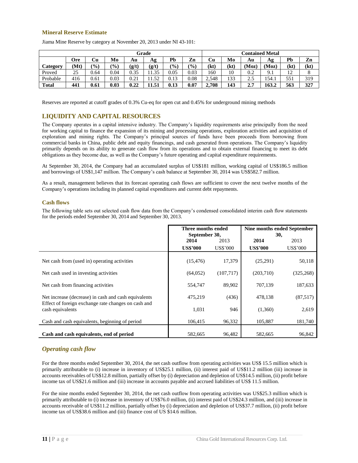#### **Mineral Reserve Estimate**

| Grade        |      |               |               |       | <b>Contained Metal</b> |               |          |       |      |      |       |                                  |      |
|--------------|------|---------------|---------------|-------|------------------------|---------------|----------|-------|------|------|-------|----------------------------------|------|
|              | Ore  | Cu            | Mo            | Au    | Аg                     | Pb            | Zn       | Cu    | Mo   | Au   | Ag    | Pb                               | Zn   |
| Category     | (Mt) | $\frac{9}{0}$ | $\frac{9}{0}$ | (g/t) | (g/t)                  | $\frac{1}{2}$ | (%)      | (kt)  | (kt) | (Moz | (Moz) | (kt)                             | (kt) |
| Proved       | 25   | 0.64          | 0.04          | 0.35  | 11.35                  | 0.05          | 0.03     | 160   | 10   | 0.2  | 9.1   | 1 <sub>0</sub><br>$\overline{1}$ | O    |
| Probable     | 416  | 0.61          | 0.03          | 0.21  | 11.52                  | 0.13          | 0.08     | 2.548 | 133  | 2.5  | 154.1 | 551                              | 319  |
| <b>Total</b> | 441  | 0.61          | 0.03          | 0.22  | 11.51                  | 0.13          | $0.07\,$ | 2.708 | 143  | 2.7  | 163.2 | 563                              | 327  |

Jiama Mine Reserve by category at November 20, 2013 under NI 43-101:

<span id="page-11-0"></span>Reserves are reported at cutoff grades of 0.3% Cu-eq for open cut and 0.45% for underground mining methods

### **LIQUIDITY AND CAPITAL RESOURCES**

The Company operates in a capital intensive industry. The Company's liquidity requirements arise principally from the need for working capital to finance the expansion of its mining and processing operations, exploration activities and acquisition of exploration and mining rights. The Company's principal sources of funds have been proceeds from borrowing from commercial banks in China, public debt and equity financings, and cash generated from operations. The Company's liquidity primarily depends on its ability to generate cash flow from its operations and to obtain external financing to meet its debt obligations as they become due, as well as the Company's future operating and capital expenditure requirements.

At September 30, 2014, the Company had an accumulated surplus of US\$181 million, working capital of US\$186.5 million and borrowings of US\$1,147 million. The Company's cash balance at September 30, 2014 was US\$582.7 million.

As a result, management believes that its forecast operating cash flows are sufficient to cover the next twelve months of the Company's operations including its planned capital expenditures and current debt repayments.

#### <span id="page-11-1"></span>**Cash flows**

The following table sets out selected cash flow data from the Company's condensed consolidated interim cash flow statements for the periods ended September 30, 2014 and September 30, 2013.

|                                                                                                             | Three months ended    |                 |                 | Nine months ended September |
|-------------------------------------------------------------------------------------------------------------|-----------------------|-----------------|-----------------|-----------------------------|
|                                                                                                             | September 30,<br>2014 |                 |                 | 30,                         |
|                                                                                                             |                       | 2013            | 2014            | 2013                        |
|                                                                                                             | <b>US\$'000</b>       | <b>US\$'000</b> | <b>US\$'000</b> | <b>US\$'000</b>             |
| Net cash from (used in) operating activities                                                                | (15, 476)             | 17,379          | (25,291)        | 50,118                      |
| Net cash used in investing activities                                                                       | (64,052)              | (107, 717)      | (203,710)       | (325, 268)                  |
| Net cash from financing activities                                                                          | 554,747               | 89,902          | 707,139         | 187,633                     |
| Net increase (decrease) in cash and cash equivalents<br>Effect of foreign exchange rate changes on cash and | 475,219               | (436)           | 478,138         | (87, 517)                   |
| cash equivalents                                                                                            | 1,031                 | 946             | (1,360)         | 2,619                       |
| Cash and cash equivalents, beginning of period                                                              | 106,415               | 96,332          | 105,887         | 181,740                     |
| Cash and cash equivalents, end of period                                                                    | 582,665               | 96,482          | 582,665         | 96,842                      |

### <span id="page-11-2"></span>*Operating cash flow*

For the three months ended September 30, 2014, the net cash outflow from operating activities was US\$ 15.5 million which is primarily attributable to (i) increase in inventory of US\$25.1 million, (ii) interest paid of US\$11.2 million (iii) increase in accounts receivables of US\$12.8 million, partially offset by (i) depreciation and depletion of US\$14.5 million, (ii) profit before income tax of US\$21.6 million and (iii) increase in accounts payable and accrued liabilities of US\$ 11.5 million.

For the nine months ended September 30, 2014, the net cash outflow from operating activities was US\$25.3 million which is primarily attributable to (i) increase in inventory of US\$76.0 million, (ii) interest paid of US\$24.3 million, and (iii) increase in accounts receivable of US\$11.2 million, partially offset by (i) depreciation and depletion of US\$37.7 million, (ii) profit before income tax of US\$38.6 million and (iii) finance cost of US \$14.6 million.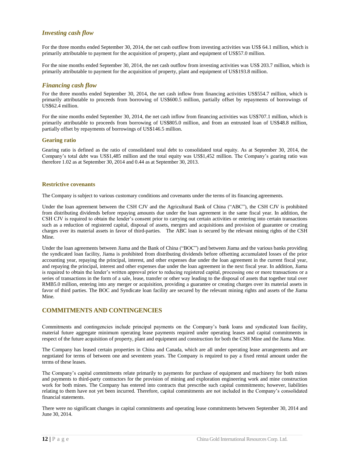#### <span id="page-12-0"></span>*Investing cash flow*

For the three months ended September 30, 2014, the net cash outflow from investing activities was US\$ 64.1 million, which is primarily attributable to payment for the acquisition of property, plant and equipment of US\$57.0 million.

For the nine months ended September 30, 2014, the net cash outflow from investing activities was US\$ 203.7 million, which is primarily attributable to payment for the acquisition of property, plant and equipment of US\$193.8 million.

#### <span id="page-12-1"></span>*Financing cash flow*

For the three months ended September 30, 2014, the net cash inflow from financing activities US\$554.7 million, which is primarily attributable to proceeds from borrowing of US\$600.5 million, partially offset by repayments of borrowings of US\$62.4 million.

For the nine months ended September 30, 2014, the net cash inflow from financing activities was US\$707.1 million, which is primarily attributable to proceeds from borrowing of US\$805.0 million, and from an entrusted loan of US\$48.8 million, partially offset by repayments of borrowings of US\$146.5 million.

#### **Gearing ratio**

Gearing ratio is defined as the ratio of consolidated total debt to consolidated total equity. As at September 30, 2014, the Company's total debt was US\$1,485 million and the total equity was US\$1,452 million. The Company's gearing ratio was therefore 1.02 as at September 30, 2014 and 0.44 as at September 30, 2013.

#### **Restrictive covenants**

The Company is subject to various customary conditions and covenants under the terms of its financing agreements.

Under the loan agreement between the CSH CJV and the Agricultural Bank of China ("ABC"), the CSH CJV is prohibited from distributing dividends before repaying amounts due under the loan agreement in the same fiscal year. In addition, the CSH CJV is required to obtain the lender's consent prior to carrying out certain activities or entering into certain transactions such as a reduction of registered capital, disposal of assets, mergers and acquisitions and provision of guarantee or creating charges over its material assets in favor of third-parties. The ABC loan is secured by the relevant mining rights of the CSH Mine.

Under the loan agreements between Jiama and the Bank of China ("BOC") and between Jiama and the various banks providing the syndicated loan facility, Jiama is prohibited from distributing dividends before offsetting accumulated losses of the prior accounting year, repaying the principal, interest, and other expenses due under the loan agreement in the current fiscal year, and repaying the principal, interest and other expenses due under the loan agreement in the next fiscal year. In addition, Jiama is required to obtain the lender's written approval prior to reducing registered capital, processing one or more transactions or a series of transactions in the form of a sale, lease, transfer or other way leading to the disposal of assets that together total over RMB5.0 million, entering into any merger or acquisition, providing a guarantee or creating charges over its material assets in favor of third parties. The BOC and Syndicate loan facility are secured by the relevant mining rights and assets of the Jiama Mine.

### <span id="page-12-2"></span>**COMMITMENTS AND CONTINGENCIES**

Commitments and contingencies include principal payments on the Company's bank loans and syndicated loan facility, material future aggregate minimum operating lease payments required under operating leases and capital commitments in respect of the future acquisition of property, plant and equipment and construction for both the CSH Mine and the Jiama Mine.

The Company has leased certain properties in China and Canada, which are all under operating lease arrangements and are negotiated for terms of between one and seventeen years. The Company is required to pay a fixed rental amount under the terms of these leases.

The Company's capital commitments relate primarily to payments for purchase of equipment and machinery for both mines and payments to third-party contractors for the provision of mining and exploration engineering work and mine construction work for both mines. The Company has entered into contracts that prescribe such capital commitments; however, liabilities relating to them have not yet been incurred. Therefore, capital commitments are not included in the Company's consolidated financial statements.

There were no significant changes in capital commitments and operating lease commitments between September 30, 2014 and June 30, 2014.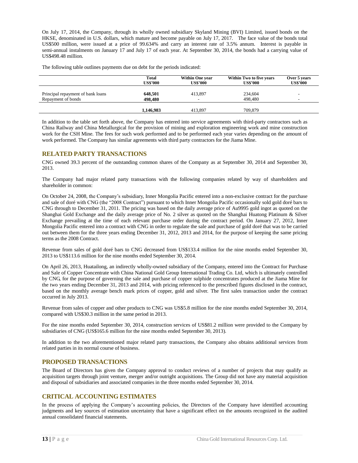On July 17, 2014, the Company, through its wholly owned subsidiary Skyland Mining (BVI) Limited, issued bonds on the HKSE, denominated in U.S. dollars, which mature and become payable on July 17, 2017. The face value of the bonds total US\$500 million, were issued at a price of 99.634% and carry an interest rate of 3.5% annum. Interest is payable in semi-annual instalments on January 17 and July 17 of each year. At September 30, 2014, the bonds had a carrying value of US\$498.48 million.

The following table outlines payments due on debt for the periods indicated:

|                                   | Total<br><b>US\$'000</b> | <b>Within One year</b><br><b>US\$'000</b> | Within Two to five years<br><b>US\$'000</b> | Over 5 years<br><b>US\$'000</b> |
|-----------------------------------|--------------------------|-------------------------------------------|---------------------------------------------|---------------------------------|
| Principal repayment of bank loans | 648,501                  | 413,897                                   | 234,604                                     |                                 |
| Repayment of bonds                | 498,480                  | $\sim$                                    | 498,480                                     |                                 |
|                                   | 1,146,983                | 413.897                                   | 709,879                                     |                                 |

In addition to the table set forth above, the Company has entered into service agreements with third-party contractors such as China Railway and China Metallurgical for the provision of mining and exploration engineering work and mine construction work for the CSH Mine. The fees for such work performed and to be performed each year varies depending on the amount of work performed. The Company has similar agreements with third party contractors for the Jiama Mine.

#### <span id="page-13-0"></span>**RELATED PARTY TRANSACTIONS**

CNG owned 39.3 percent of the outstanding common shares of the Company as at September 30, 2014 and September 30, 2013.

The Company had major related party transactions with the following companies related by way of shareholders and shareholder in common:

On October 24, 2008, the Company's subsidiary, Inner Mongolia Pacific entered into a non-exclusive contract for the purchase and sale of doré with CNG (the "2008 Contract") pursuant to which Inner Mongolia Pacific occasionally sold gold doré bars to CNG through to December 31, 2011. The pricing was based on the daily average price of Au9995 gold ingot as quoted on the Shanghai Gold Exchange and the daily average price of No. 2 silver as quoted on the Shanghai Huatong Platinum & Silver Exchange prevailing at the time of each relevant purchase order during the contract period. On January 27, 2012, Inner Mongolia Pacific entered into a contract with CNG in order to regulate the sale and purchase of gold doré that was to be carried out between them for the three years ending December 31, 2012, 2013 and 2014, for the purpose of keeping the same pricing terms as the 2008 Contract.

Revenue from sales of gold doré bars to CNG decreased from US\$133.4 million for the nine months ended September 30, 2013 to US\$113.6 million for the nine months ended September 30, 2014.

On April 26, 2013, Huatailong, an indirectly wholly-owned subsidiary of the Company, entered into the Contract for Purchase and Sale of Copper Concentrate with China National Gold Group International Trading Co. Ltd, which is ultimately controlled by CNG, for the purpose of governing the sale and purchase of copper sulphide concentrates produced at the Jiama Mine for the two years ending December 31, 2013 and 2014, with pricing referenced to the prescribed figures disclosed in the contract, based on the monthly average bench mark prices of copper, gold and silver. The first sales transaction under the contract occurred in July 2013.

Revenue from sales of copper and other products to CNG was US\$5.8 million for the nine months ended September 30, 2014, compared with US\$30.3 million in the same period in 2013.

For the nine months ended September 30, 2014, construction services of US\$81.2 million were provided to the Company by subsidiaries of CNG (US\$165.6 million for the nine months ended September 30, 2013).

In addition to the two aforementioned major related party transactions, the Company also obtains additional services from related parties in its normal course of business.

#### <span id="page-13-1"></span>**PROPOSED TRANSACTIONS**

The Board of Directors has given the Company approval to conduct reviews of a number of projects that may qualify as acquisition targets through joint venture, merger and/or outright acquisitions. The Group did not have any material acquisition and disposal of subsidiaries and associated companies in the three months ended September 30, 2014.

#### <span id="page-13-2"></span>**CRITICAL ACCOUNTING ESTIMATES**

In the process of applying the Company's accounting policies, the Directors of the Company have identified accounting judgments and key sources of estimation uncertainty that have a significant effect on the amounts recognized in the audited annual consolidated financial statements.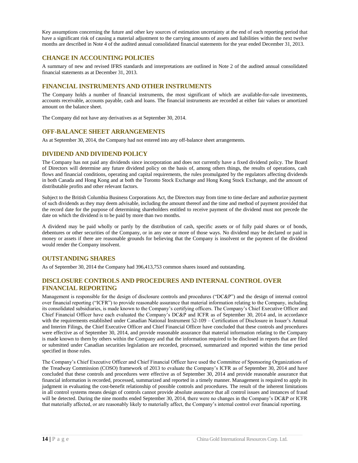Key assumptions concerning the future and other key sources of estimation uncertainty at the end of each reporting period that have a significant risk of causing a material adjustment to the carrying amounts of assets and liabilities within the next twelve months are described in Note 4 of the audited annual consolidated financial statements for the year ended December 31, 2013.

### <span id="page-14-0"></span>**CHANGE IN ACCOUNTING POLICIES**

A summary of new and revised IFRS standards and interpretations are outlined in Note 2 of the audited annual consolidated financial statements as at December 31, 2013.

#### <span id="page-14-1"></span>**FINANCIAL INSTRUMENTS AND OTHER INSTRUMENTS**

The Company holds a number of financial instruments, the most significant of which are available-for-sale investments, accounts receivable, accounts payable, cash and loans. The financial instruments are recorded at either fair values or amortized amount on the balance sheet.

The Company did not have any derivatives as at September 30, 2014.

### <span id="page-14-2"></span>**OFF-BALANCE SHEET ARRANGEMENTS**

As at September 30, 2014, the Company had not entered into any off-balance sheet arrangements.

### <span id="page-14-3"></span>**DIVIDEND AND DIVIDEND POLICY**

The Company has not paid any dividends since incorporation and does not currently have a fixed dividend policy. The Board of Directors will determine any future dividend policy on the basis of, among others things, the results of operations, cash flows and financial conditions, operating and capital requirements, the rules promulgated by the regulators affecting dividends in both Canada and Hong Kong and at both the Toronto Stock Exchange and Hong Kong Stock Exchange, and the amount of distributable profits and other relevant factors.

Subject to the British Columbia Business Corporations Act, the Directors may from time to time declare and authorize payment of such dividends as they may deem advisable, including the amount thereof and the time and method of payment provided that the record date for the purpose of determining shareholders entitled to receive payment of the dividend must not precede the date on which the dividend is to be paid by more than two months.

A dividend may be paid wholly or partly by the distribution of cash, specific assets or of fully paid shares or of bonds, debentures or other securities of the Company, or in any one or more of those ways. No dividend may be declared or paid in money or assets if there are reasonable grounds for believing that the Company is insolvent or the payment of the dividend would render the Company insolvent.

### <span id="page-14-4"></span>**OUTSTANDING SHARES**

As of September 30, 2014 the Company had 396,413,753 common shares issued and outstanding.

### <span id="page-14-5"></span>**DISCLOSURE CONTROLS AND PROCEDURES AND INTERNAL CONTROL OVER FINANCIAL REPORTING**

Management is responsible for the design of disclosure controls and procedures ("DC&P") and the design of internal control over financial reporting ("ICFR") to provide reasonable assurance that material information relating to the Company, including its consolidated subsidiaries, is made known to the Company's certifying officers. The Company's Chief Executive Officer and Chief Financial Officer have each evaluated the Company's DC&P and ICFR as of September 30, 2014 and, in accordance with the requirements established under Canadian National Instrument 52-109 – Certification of Disclosure in Issuer's Annual and Interim Filings, the Chief Executive Officer and Chief Financial Officer have concluded that these controls and procedures were effective as of September 30, 2014, and provide reasonable assurance that material information relating to the Company is made known to them by others within the Company and that the information required to be disclosed in reports that are filed or submitted under Canadian securities legislation are recorded, processed, summarized and reported within the time period specified in those rules.

The Company's Chief Executive Officer and Chief Financial Officer have used the Committee of Sponsoring Organizations of the Treadway Commission (COSO) framework of 2013 to evaluate the Company's ICFR as of September 30, 2014 and have concluded that these controls and procedures were effective as of September 30, 2014 and provide reasonable assurance that financial information is recorded, processed, summarized and reported in a timely manner. Management is required to apply its judgment in evaluating the cost-benefit relationship of possible controls and procedures. The result of the inherent limitations in all control systems means design of controls cannot provide absolute assurance that all control issues and instances of fraud will be detected. During the nine months ended September 30, 2014, there were no changes in the Company's DC&P or ICFR that materially affected, or are reasonably likely to materially affect, the Company's internal control over financial reporting.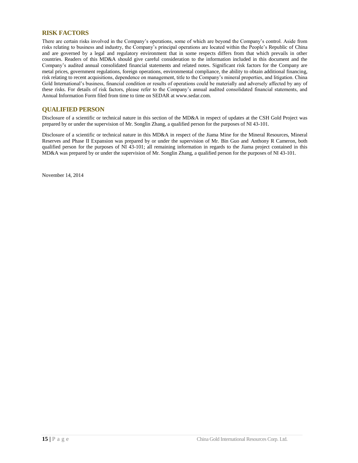### <span id="page-15-0"></span>**RISK FACTORS**

There are certain risks involved in the Company's operations, some of which are beyond the Company's control. Aside from risks relating to business and industry, the Company's principal operations are located within the People's Republic of China and are governed by a legal and regulatory environment that in some respects differs from that which prevails in other countries. Readers of this MD&A should give careful consideration to the information included in this document and the Company's audited annual consolidated financial statements and related notes. Significant risk factors for the Company are metal prices, government regulations, foreign operations, environmental compliance, the ability to obtain additional financing, risk relating to recent acquisitions, dependence on management, title to the Company's mineral properties, and litigation. China Gold International's business, financial condition or results of operations could be materially and adversely affected by any of these risks. For details of risk factors, please refer to the Company's annual audited consolidated financial statements, and Annual Information Form filed from time to time on SEDAR at www.sedar.com.

#### <span id="page-15-1"></span>**QUALIFIED PERSON**

Disclosure of a scientific or technical nature in this section of the MD&A in respect of updates at the CSH Gold Project was prepared by or under the supervision of Mr. Songlin Zhang, a qualified person for the purposes of NI 43-101.

Disclosure of a scientific or technical nature in this MD&A in respect of the Jiama Mine for the Mineral Resources, Mineral Reserves and Phase II Expansion was prepared by or under the supervision of Mr. Bin Guo and Anthony R Cameron, both qualified person for the purposes of NI 43-101; all remaining information in regards to the Jiama project contained in this MD&A was prepared by or under the supervision of Mr. Songlin Zhang, a qualified person for the purposes of NI 43-101.

November 14, 2014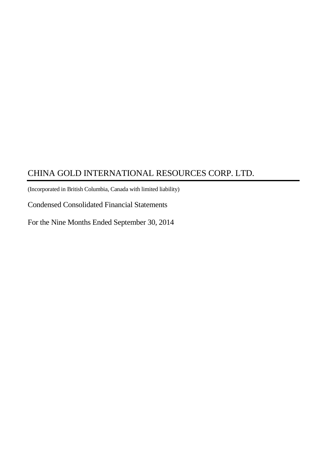(Incorporated in British Columbia, Canada with limited liability)

Condensed Consolidated Financial Statements

For the Nine Months Ended September 30, 2014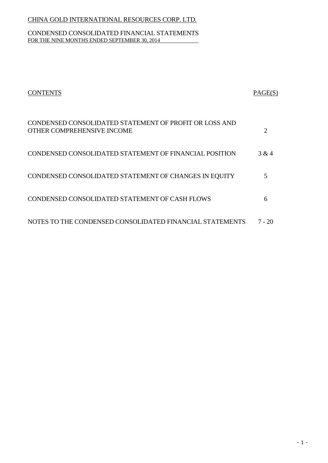### CONDENSED CONSOLIDATED FINANCIAL STATEMENTS FOR THE NINE MONTHS ENDED SEPTEMBER 30, 2014

| <b>CONTENTS</b>                                                                      | PAGE(S)               |
|--------------------------------------------------------------------------------------|-----------------------|
| CONDENSED CONSOLIDATED STATEMENT OF PROFIT OR LOSS AND<br>OTHER COMPREHENSIVE INCOME | $\mathcal{D}_{\cdot}$ |
| CONDENSED CONSOLIDATED STATEMENT OF FINANCIAL POSITION                               | 3 & 4                 |
| CONDENSED CONSOLIDATED STATEMENT OF CHANGES IN EQUITY                                | 5                     |
| CONDENSED CONSOLIDATED STATEMENT OF CASH FLOWS                                       | 6                     |
| NOTES TO THE CONDENSED CONSOLIDATED FINANCIAL STATEMENTS                             | 7 - 20                |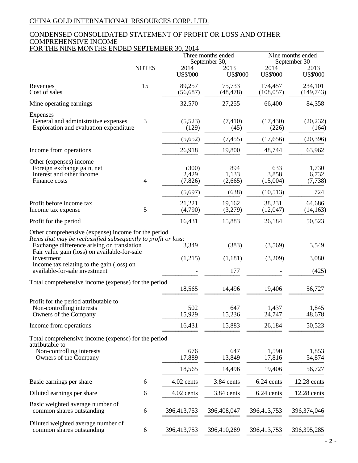### CONDENSED CONSOLIDATED STATEMENT OF PROFIT OR LOSS AND OTHER COMPREHENSIVE INCOME FOR THE NINE MONTHS ENDED SEPTEMBER 30, 2014

| <b>NOTES</b><br>2014<br>2014<br>2013<br>US\$'000<br>US\$'000<br><b>US\$'000</b><br>15<br>89,257<br>75,733<br>Revenues<br>174,457<br>Cost of sales<br>(48, 478)<br>(56, 687)<br>(108, 057)<br>32,570<br>Mine operating earnings<br>27,255<br>66,400<br><b>Expenses</b><br>3<br>(5,523)<br>General and administrative expenses<br>(7, 410)<br>(17, 430)<br>Exploration and evaluation expenditure<br>(129)<br>(45)<br>(226)<br>(5,652)<br>(7, 455)<br>(17,656)<br>26,918<br>19,800<br>48,744<br>Income from operations<br>Other (expenses) income<br>(300)<br>894<br>633<br>Foreign exchange gain, net<br>2,429<br>1,133<br>3,858<br>Interest and other income<br>$\overline{4}$<br>(7, 826)<br>(15,004)<br>Finance costs<br>(2,665)<br>(5,697)<br>(638)<br>(10,513)<br>Profit before income tax<br>21,221<br>19,162<br>38,231<br>5<br>(3,279)<br>(4,790)<br>(12,047)<br>Income tax expense<br>16,431<br>Profit for the period<br>15,883<br>26,184<br>Other comprehensive (expense) income for the period<br>Items that may be reclassified subsequently to profit or loss:<br>(383)<br>(3,569)<br>Exchange difference arising on translation<br>3,349<br>Fair value gain (loss) on available-for-sale<br>investment<br>(1,215)<br>(1,181)<br>(3,209)<br>Income tax relating to the gain (loss) on<br>177<br>available-for-sale investment<br>Total comprehensive income (expense) for the period<br>18,565<br>14,496<br>19,406<br>Profit for the period attributable to<br>502<br>647<br>1,437<br>Non-controlling interests<br>15,929<br>15,236<br>24,747<br>Owners of the Company<br>16,431<br>15,883<br>Income from operations<br>26,184<br>Total comprehensive income (expense) for the period<br>attributable to<br>Non-controlling interests<br>676<br>647<br>1,590<br>17,889<br>13,849<br>17,816<br>Owners of the Company<br>18,565<br>14,496<br>19,406<br>4.02 cents<br>3.84 cents<br>6.24 cents<br>Basic earnings per share<br>6<br>Diluted earnings per share<br>4.02 cents<br>3.84 cents<br>6.24 cents<br>6<br>Basic weighted average number of<br>common shares outstanding<br>6<br>396,413,753<br>396,408,047<br>396,413,753<br>Diluted weighted average number of |                           |   |             | Three months ended<br>September 30, |             | Nine months ended<br>September 30 |  |  |
|-------------------------------------------------------------------------------------------------------------------------------------------------------------------------------------------------------------------------------------------------------------------------------------------------------------------------------------------------------------------------------------------------------------------------------------------------------------------------------------------------------------------------------------------------------------------------------------------------------------------------------------------------------------------------------------------------------------------------------------------------------------------------------------------------------------------------------------------------------------------------------------------------------------------------------------------------------------------------------------------------------------------------------------------------------------------------------------------------------------------------------------------------------------------------------------------------------------------------------------------------------------------------------------------------------------------------------------------------------------------------------------------------------------------------------------------------------------------------------------------------------------------------------------------------------------------------------------------------------------------------------------------------------------------------------------------------------------------------------------------------------------------------------------------------------------------------------------------------------------------------------------------------------------------------------------------------------------------------------------------------------------------------------------------------------------------------------------------------------------------------------------------------------------------------------|---------------------------|---|-------------|-------------------------------------|-------------|-----------------------------------|--|--|
|                                                                                                                                                                                                                                                                                                                                                                                                                                                                                                                                                                                                                                                                                                                                                                                                                                                                                                                                                                                                                                                                                                                                                                                                                                                                                                                                                                                                                                                                                                                                                                                                                                                                                                                                                                                                                                                                                                                                                                                                                                                                                                                                                                               |                           |   |             |                                     |             | 2013<br>US\$'000                  |  |  |
|                                                                                                                                                                                                                                                                                                                                                                                                                                                                                                                                                                                                                                                                                                                                                                                                                                                                                                                                                                                                                                                                                                                                                                                                                                                                                                                                                                                                                                                                                                                                                                                                                                                                                                                                                                                                                                                                                                                                                                                                                                                                                                                                                                               |                           |   |             |                                     |             | 234,101<br>(149, 743)             |  |  |
|                                                                                                                                                                                                                                                                                                                                                                                                                                                                                                                                                                                                                                                                                                                                                                                                                                                                                                                                                                                                                                                                                                                                                                                                                                                                                                                                                                                                                                                                                                                                                                                                                                                                                                                                                                                                                                                                                                                                                                                                                                                                                                                                                                               |                           |   |             |                                     |             | 84,358                            |  |  |
|                                                                                                                                                                                                                                                                                                                                                                                                                                                                                                                                                                                                                                                                                                                                                                                                                                                                                                                                                                                                                                                                                                                                                                                                                                                                                                                                                                                                                                                                                                                                                                                                                                                                                                                                                                                                                                                                                                                                                                                                                                                                                                                                                                               |                           |   |             |                                     |             | (20, 232)<br>(164)                |  |  |
|                                                                                                                                                                                                                                                                                                                                                                                                                                                                                                                                                                                                                                                                                                                                                                                                                                                                                                                                                                                                                                                                                                                                                                                                                                                                                                                                                                                                                                                                                                                                                                                                                                                                                                                                                                                                                                                                                                                                                                                                                                                                                                                                                                               |                           |   |             |                                     |             | (20, 396)                         |  |  |
|                                                                                                                                                                                                                                                                                                                                                                                                                                                                                                                                                                                                                                                                                                                                                                                                                                                                                                                                                                                                                                                                                                                                                                                                                                                                                                                                                                                                                                                                                                                                                                                                                                                                                                                                                                                                                                                                                                                                                                                                                                                                                                                                                                               |                           |   |             |                                     |             | 63,962                            |  |  |
|                                                                                                                                                                                                                                                                                                                                                                                                                                                                                                                                                                                                                                                                                                                                                                                                                                                                                                                                                                                                                                                                                                                                                                                                                                                                                                                                                                                                                                                                                                                                                                                                                                                                                                                                                                                                                                                                                                                                                                                                                                                                                                                                                                               |                           |   |             |                                     |             | 1,730<br>6,732<br>(7, 738)        |  |  |
|                                                                                                                                                                                                                                                                                                                                                                                                                                                                                                                                                                                                                                                                                                                                                                                                                                                                                                                                                                                                                                                                                                                                                                                                                                                                                                                                                                                                                                                                                                                                                                                                                                                                                                                                                                                                                                                                                                                                                                                                                                                                                                                                                                               |                           |   |             |                                     |             | 724<br>64,686<br>(14, 163)        |  |  |
|                                                                                                                                                                                                                                                                                                                                                                                                                                                                                                                                                                                                                                                                                                                                                                                                                                                                                                                                                                                                                                                                                                                                                                                                                                                                                                                                                                                                                                                                                                                                                                                                                                                                                                                                                                                                                                                                                                                                                                                                                                                                                                                                                                               |                           |   |             |                                     |             | 50,523                            |  |  |
|                                                                                                                                                                                                                                                                                                                                                                                                                                                                                                                                                                                                                                                                                                                                                                                                                                                                                                                                                                                                                                                                                                                                                                                                                                                                                                                                                                                                                                                                                                                                                                                                                                                                                                                                                                                                                                                                                                                                                                                                                                                                                                                                                                               |                           |   |             |                                     |             | 3,549<br>3,080<br>(425)           |  |  |
|                                                                                                                                                                                                                                                                                                                                                                                                                                                                                                                                                                                                                                                                                                                                                                                                                                                                                                                                                                                                                                                                                                                                                                                                                                                                                                                                                                                                                                                                                                                                                                                                                                                                                                                                                                                                                                                                                                                                                                                                                                                                                                                                                                               |                           |   |             |                                     |             | 56,727                            |  |  |
|                                                                                                                                                                                                                                                                                                                                                                                                                                                                                                                                                                                                                                                                                                                                                                                                                                                                                                                                                                                                                                                                                                                                                                                                                                                                                                                                                                                                                                                                                                                                                                                                                                                                                                                                                                                                                                                                                                                                                                                                                                                                                                                                                                               |                           |   |             |                                     |             | 1,845<br>48,678                   |  |  |
|                                                                                                                                                                                                                                                                                                                                                                                                                                                                                                                                                                                                                                                                                                                                                                                                                                                                                                                                                                                                                                                                                                                                                                                                                                                                                                                                                                                                                                                                                                                                                                                                                                                                                                                                                                                                                                                                                                                                                                                                                                                                                                                                                                               |                           |   |             |                                     |             | 50,523                            |  |  |
|                                                                                                                                                                                                                                                                                                                                                                                                                                                                                                                                                                                                                                                                                                                                                                                                                                                                                                                                                                                                                                                                                                                                                                                                                                                                                                                                                                                                                                                                                                                                                                                                                                                                                                                                                                                                                                                                                                                                                                                                                                                                                                                                                                               |                           |   |             |                                     |             | 1,853<br>54,874                   |  |  |
|                                                                                                                                                                                                                                                                                                                                                                                                                                                                                                                                                                                                                                                                                                                                                                                                                                                                                                                                                                                                                                                                                                                                                                                                                                                                                                                                                                                                                                                                                                                                                                                                                                                                                                                                                                                                                                                                                                                                                                                                                                                                                                                                                                               |                           |   |             |                                     |             | 56,727                            |  |  |
|                                                                                                                                                                                                                                                                                                                                                                                                                                                                                                                                                                                                                                                                                                                                                                                                                                                                                                                                                                                                                                                                                                                                                                                                                                                                                                                                                                                                                                                                                                                                                                                                                                                                                                                                                                                                                                                                                                                                                                                                                                                                                                                                                                               |                           |   |             |                                     |             | 12.28 cents                       |  |  |
|                                                                                                                                                                                                                                                                                                                                                                                                                                                                                                                                                                                                                                                                                                                                                                                                                                                                                                                                                                                                                                                                                                                                                                                                                                                                                                                                                                                                                                                                                                                                                                                                                                                                                                                                                                                                                                                                                                                                                                                                                                                                                                                                                                               |                           |   |             |                                     |             | 12.28 cents                       |  |  |
|                                                                                                                                                                                                                                                                                                                                                                                                                                                                                                                                                                                                                                                                                                                                                                                                                                                                                                                                                                                                                                                                                                                                                                                                                                                                                                                                                                                                                                                                                                                                                                                                                                                                                                                                                                                                                                                                                                                                                                                                                                                                                                                                                                               |                           |   |             |                                     |             | 396, 374, 046                     |  |  |
|                                                                                                                                                                                                                                                                                                                                                                                                                                                                                                                                                                                                                                                                                                                                                                                                                                                                                                                                                                                                                                                                                                                                                                                                                                                                                                                                                                                                                                                                                                                                                                                                                                                                                                                                                                                                                                                                                                                                                                                                                                                                                                                                                                               | common shares outstanding | 6 | 396,413,753 | 396,410,289                         | 396,413,753 | 396, 395, 285                     |  |  |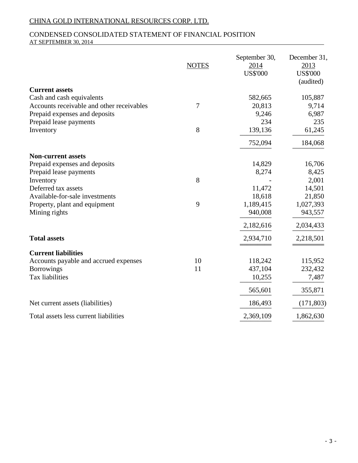### CONDENSED CONSOLIDATED STATEMENT OF FINANCIAL POSITION AT SEPTEMBER 30, 2014

|                                                                        | <b>NOTES</b> | September 30,<br>2014<br><b>US\$'000</b> | December 31,<br>2013<br><b>US\$'000</b><br>(audited) |
|------------------------------------------------------------------------|--------------|------------------------------------------|------------------------------------------------------|
| <b>Current assets</b>                                                  |              |                                          |                                                      |
| Cash and cash equivalents<br>Accounts receivable and other receivables | $\tau$       | 582,665<br>20,813                        | 105,887<br>9,714                                     |
| Prepaid expenses and deposits                                          |              | 9,246                                    | 6,987                                                |
| Prepaid lease payments                                                 |              | 234                                      | 235                                                  |
| Inventory                                                              | 8            | 139,136                                  | 61,245                                               |
|                                                                        |              | 752,094                                  | 184,068                                              |
| <b>Non-current assets</b>                                              |              |                                          |                                                      |
| Prepaid expenses and deposits                                          |              | 14,829                                   | 16,706                                               |
| Prepaid lease payments                                                 |              | 8,274                                    | 8,425                                                |
| Inventory                                                              | 8            |                                          | 2,001                                                |
| Deferred tax assets                                                    |              | 11,472                                   | 14,501                                               |
| Available-for-sale investments                                         |              | 18,618                                   | 21,850                                               |
| Property, plant and equipment                                          | 9            | 1,189,415                                | 1,027,393                                            |
| Mining rights                                                          |              | 940,008                                  | 943,557                                              |
|                                                                        |              | 2,182,616                                | 2,034,433                                            |
| <b>Total assets</b>                                                    |              | 2,934,710                                | 2,218,501                                            |
| <b>Current liabilities</b>                                             |              |                                          |                                                      |
| Accounts payable and accrued expenses                                  | 10           | 118,242                                  | 115,952                                              |
| <b>Borrowings</b>                                                      | 11           | 437,104                                  | 232,432                                              |
| Tax liabilities                                                        |              | 10,255                                   | 7,487                                                |
|                                                                        |              | 565,601                                  | 355,871                                              |
| Net current assets (liabilities)                                       |              | 186,493                                  | (171, 803)                                           |
| Total assets less current liabilities                                  |              | 2,369,109                                | 1,862,630                                            |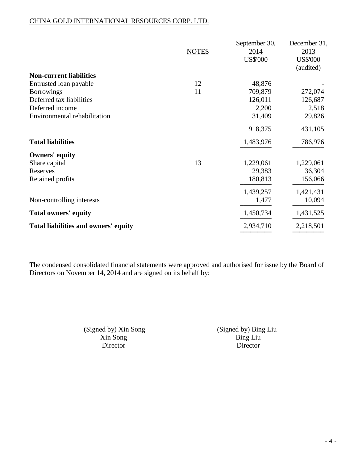|                                      | <b>NOTES</b> | September 30,<br>2014<br><b>US\$'000</b> | December 31,<br>2013<br><b>US\$'000</b><br>(audited) |
|--------------------------------------|--------------|------------------------------------------|------------------------------------------------------|
| <b>Non-current liabilities</b>       |              |                                          |                                                      |
| Entrusted loan payable               | 12           | 48,876                                   |                                                      |
| <b>Borrowings</b>                    | 11           | 709,879                                  | 272,074                                              |
| Deferred tax liabilities             |              | 126,011                                  | 126,687                                              |
| Deferred income                      |              | 2,200                                    | 2,518                                                |
| Environmental rehabilitation         |              | 31,409                                   | 29,826                                               |
|                                      |              | 918,375                                  | 431,105                                              |
| <b>Total liabilities</b>             |              | 1,483,976                                | 786,976                                              |
| <b>Owners' equity</b>                |              |                                          |                                                      |
| Share capital                        | 13           | 1,229,061                                | 1,229,061                                            |
| Reserves                             |              | 29,383                                   | 36,304                                               |
| Retained profits                     |              | 180,813                                  | 156,066                                              |
|                                      |              | 1,439,257                                | 1,421,431                                            |
| Non-controlling interests            |              | 11,477                                   | 10,094                                               |
| <b>Total owners' equity</b>          |              | 1,450,734                                | 1,431,525                                            |
| Total liabilities and owners' equity |              | 2,934,710                                | 2,218,501                                            |
|                                      |              |                                          |                                                      |

The condensed consolidated financial statements were approved and authorised for issue by the Board of Directors on November 14, 2014 and are signed on its behalf by:

> Xin Song<br>Director Bing Liu<br>Director Director Director

(Signed by) Xin Song (Signed by) Bing Liu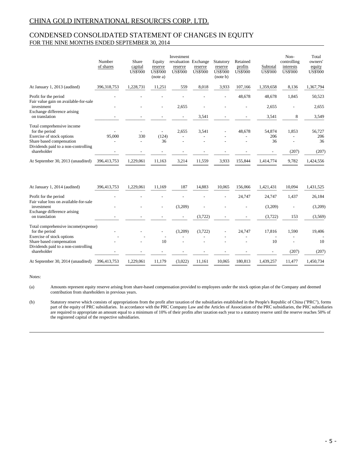### CONDENSED CONSOLIDATED STATEMENT OF CHANGES IN EQUITY FOR THE NINE MONTHS ENDED SEPTEMBER 30, 2014

|                                                                 | Number<br>of shares | Share<br>capital<br><b>US\$'000</b> | Equity<br>reserve<br><b>US\$'000</b><br>(note a) | Investment<br>revaluation Exchange<br>reserve<br><b>US\$'000</b> | reserve<br><b>US\$'000</b> | Statutory<br>reserve<br><b>US\$'000</b><br>(note b) | Retained<br>profits<br><b>US\$'000</b> | Subtotal<br><b>US\$'000</b> | Non-<br>controlling<br>interests<br><b>US\$'000</b> | Total<br>owners'<br>equity<br><b>US\$'000</b> |
|-----------------------------------------------------------------|---------------------|-------------------------------------|--------------------------------------------------|------------------------------------------------------------------|----------------------------|-----------------------------------------------------|----------------------------------------|-----------------------------|-----------------------------------------------------|-----------------------------------------------|
| At January 1, 2013 (audited)                                    | 396,318,753         | 1,228,731                           | 11,251                                           | 559                                                              | 8,018                      | 3,933                                               | 107,166                                | 1,359,658                   | 8,136                                               | 1,367,794                                     |
| Profit for the period<br>Fair value gain on available-for-sale  |                     |                                     |                                                  |                                                                  |                            |                                                     | 48,678                                 | 48,678                      | 1,845                                               | 50,523                                        |
| investment                                                      |                     |                                     |                                                  | 2,655                                                            |                            |                                                     |                                        | 2,655                       |                                                     | 2,655                                         |
| Exchange difference arising<br>on translation                   |                     |                                     |                                                  |                                                                  | 3,541                      |                                                     |                                        | 3,541                       | 8                                                   | 3,549                                         |
| Total comprehensive income<br>for the period                    |                     |                                     |                                                  | 2,655                                                            | 3,541                      |                                                     | 48,678                                 | 54,874                      | 1,853                                               | 56,727                                        |
| Exercise of stock options                                       | 95,000              | 330                                 | (124)                                            |                                                                  |                            |                                                     |                                        | 206                         |                                                     | 206                                           |
| Share based compensation<br>Dividends paid to a non-controlling |                     |                                     | 36                                               |                                                                  |                            |                                                     |                                        | 36                          |                                                     | 36                                            |
| shareholder                                                     |                     |                                     |                                                  |                                                                  |                            |                                                     |                                        |                             | (207)                                               | (207)                                         |
| At September 30, 2013 (unaudited)                               | 396,413,753         | 1,229,061                           | 11,163                                           | 3,214                                                            | 11,559                     | 3,933                                               | 155,844                                | 1,414,774                   | 9,782                                               | 1,424,556                                     |
| At January 1, 2014 (audited)                                    | 396,413,753         | 1,229,061                           | 11,169                                           | 187                                                              | 14,883                     | 10,065                                              | 156,066                                | 1,421,431                   | 10,094                                              | 1,431,525                                     |
| Profit for the period                                           |                     |                                     |                                                  |                                                                  |                            |                                                     | 24,747                                 | 24,747                      | 1,437                                               | 26,184                                        |
| Fair value loss on available-for-sale<br>investment             |                     |                                     |                                                  | (3,209)                                                          |                            |                                                     |                                        | (3,209)                     |                                                     | (3,209)                                       |
| Exchange difference arising<br>on translation                   |                     |                                     |                                                  |                                                                  | (3,722)                    |                                                     |                                        | (3,722)                     | 153                                                 | (3,569)                                       |
| Total comprehensive income(expense)<br>for the period           |                     |                                     |                                                  | (3,209)                                                          | (3,722)                    |                                                     | 24.747                                 | 17,816                      | 1,590                                               | 19,406                                        |
| Exercise of stock options                                       |                     |                                     |                                                  |                                                                  |                            |                                                     |                                        |                             |                                                     |                                               |
| Share based compensation                                        |                     |                                     | 10                                               |                                                                  |                            |                                                     |                                        | 10                          |                                                     | 10                                            |
| Dividends paid to a non-controlling<br>shareholder              |                     |                                     |                                                  |                                                                  |                            |                                                     |                                        |                             | (207)                                               | (207)                                         |
| At September 30, 2014 (unaudited)                               | 396,413,753         | 1,229,061                           | 11,179                                           | (3,022)                                                          | 11,161                     | 10,065                                              | 180,813                                | 1,439,257                   | 11,477                                              | 1,450,734                                     |

Notes:

(a) Amounts represent equity reserve arising from share-based compensation provided to employees under the stock option plan of the Company and deemed contribution from shareholders in previous years.

(b) Statutory reserve which consists of appropriations from the profit after taxation of the subsidiaries established in the People's Republic of China ("PRC"), forms part of the equity of PRC subsidiaries. In accordance with the PRC Company Law and the Articles of Association of the PRC subsidiaries, the PRC subsidiaries are required to appropriate an amount equal to a minimum of 10% of their profits after taxation each year to a statutory reserve until the reserve reaches 50% of the registered capital of the respective subsidiaries.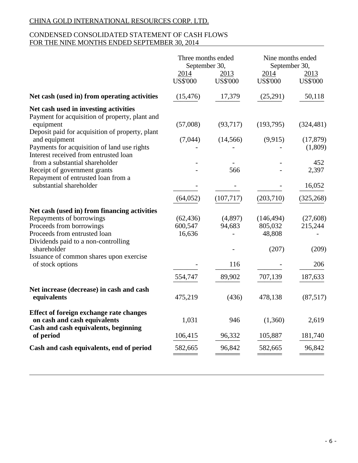# CONDENSED CONSOLIDATED STATEMENT OF CASH FLOWS FOR THE NINE MONTHS ENDED SEPTEMBER 30, 2014

| Three months ended<br>Nine months ended<br>September 30,<br>September 30,                                                                          |
|----------------------------------------------------------------------------------------------------------------------------------------------------|
| 2014<br>2014<br>2013<br><u>2013</u><br><b>US\$'000</b><br><b>US\$'000</b><br><b>US\$'000</b><br><b>US\$'000</b>                                    |
| 50,118<br>Net cash (used in) from operating activities<br>(15, 476)<br>17,379<br>(25,291)                                                          |
| Net cash used in investing activities<br>Payment for acquisition of property, plant and                                                            |
| (57,008)<br>(93,717)<br>(193,795)<br>(324, 481)<br>Deposit paid for acquisition of property, plant<br>(17, 879)<br>(7,044)<br>(14, 566)<br>(9,915) |
| Payments for acquisition of land use rights<br>(1,809)                                                                                             |
| 452<br>2,397<br>566                                                                                                                                |
| 16,052                                                                                                                                             |
| (64, 052)<br>(107, 717)<br>(203,710)<br>(325, 268)                                                                                                 |
| Net cash (used in) from financing activities                                                                                                       |
| (62, 436)<br>(4,897)<br>(146, 494)<br>(27,608)                                                                                                     |
| 600,547<br>94,683<br>805,032<br>215,244<br>16,636<br>48,808                                                                                        |
|                                                                                                                                                    |
| (207)<br>(209)                                                                                                                                     |
| Issuance of common shares upon exercise                                                                                                            |
| 116<br>206                                                                                                                                         |
| 554,747<br>89,902<br>707,139<br>187,633                                                                                                            |
| Net increase (decrease) in cash and cash<br>(87,517)<br>475,219<br>(436)<br>478,138                                                                |
| <b>Effect of foreign exchange rate changes</b><br>1,031<br>946<br>(1,360)<br>2,619                                                                 |
| 96,332<br>106,415<br>105,887<br>181,740                                                                                                            |
| Cash and cash equivalents, end of period<br>96,842<br>582,665<br>96,842<br>582,665                                                                 |
| Cash and cash equivalents, beginning                                                                                                               |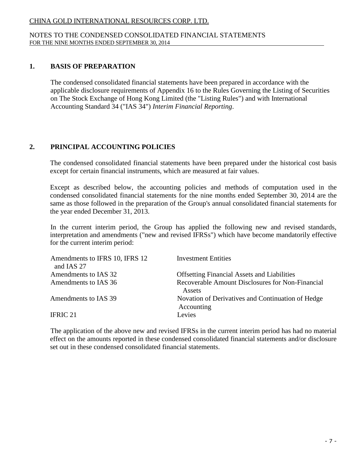### NOTES TO THE CONDENSED CONSOLIDATED FINANCIAL STATEMENTS FOR THE NINE MONTHS ENDED SEPTEMBER 30, 2014

## **1. BASIS OF PREPARATION**

The condensed consolidated financial statements have been prepared in accordance with the applicable disclosure requirements of Appendix 16 to the Rules Governing the Listing of Securities on The Stock Exchange of Hong Kong Limited (the "Listing Rules") and with International Accounting Standard 34 ("IAS 34") *Interim Financial Reporting*.

# **2. PRINCIPAL ACCOUNTING POLICIES**

The condensed consolidated financial statements have been prepared under the historical cost basis except for certain financial instruments, which are measured at fair values.

Except as described below, the accounting policies and methods of computation used in the condensed consolidated financial statements for the nine months ended September 30, 2014 are the same as those followed in the preparation of the Group's annual consolidated financial statements for the year ended December 31, 2013.

In the current interim period, the Group has applied the following new and revised standards, interpretation and amendments ("new and revised IFRSs") which have become mandatorily effective for the current interim period:

| Amendments to IFRS 10, IFRS 12<br>and IAS 27 | <b>Investment Entities</b>                                      |
|----------------------------------------------|-----------------------------------------------------------------|
| Amendments to IAS 32                         | <b>Offsetting Financial Assets and Liabilities</b>              |
| Amendments to IAS 36                         | Recoverable Amount Disclosures for Non-Financial<br>Assets      |
| Amendments to IAS 39                         | Novation of Derivatives and Continuation of Hedge<br>Accounting |
| <b>IFRIC 21</b>                              | Levies                                                          |

The application of the above new and revised IFRSs in the current interim period has had no material effect on the amounts reported in these condensed consolidated financial statements and/or disclosure set out in these condensed consolidated financial statements.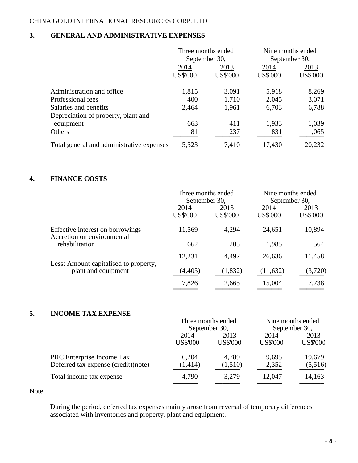# **3. GENERAL AND ADMINISTRATIVE EXPENSES**

|                                           | Three months ended |                 | Nine months ended |                 |  |
|-------------------------------------------|--------------------|-----------------|-------------------|-----------------|--|
|                                           |                    | September 30,   |                   | September 30,   |  |
|                                           | 2014               | 2013            | 2014              | 2013            |  |
|                                           | <b>US\$'000</b>    | <b>US\$'000</b> | <b>US\$'000</b>   | <b>US\$'000</b> |  |
| Administration and office.                | 1,815              | 3,091           | 5,918             | 8,269           |  |
| Professional fees                         | 400                | 1,710           | 2,045             | 3,071           |  |
| Salaries and benefits                     | 2,464              | 1,961           | 6,703             | 6,788           |  |
| Depreciation of property, plant and       |                    |                 |                   |                 |  |
| equipment                                 | 663                | 411             | 1,933             | 1,039           |  |
| Others                                    | 181                | 237             | 831               | 1,065           |  |
| Total general and administrative expenses | 5,523              | 7,410           | 17,430            | 20,232          |  |
|                                           |                    |                 |                   |                 |  |

# **4. FINANCE COSTS**

|                                                                | Three months ended<br>September 30, |                         |                         | Nine months ended<br>September 30, |  |
|----------------------------------------------------------------|-------------------------------------|-------------------------|-------------------------|------------------------------------|--|
|                                                                | 2014<br><b>US\$'000</b>             | 2013<br><b>US\$'000</b> | 2014<br><b>US\$'000</b> | 2013<br><b>US\$'000</b>            |  |
| Effective interest on borrowings<br>Accretion on environmental | 11,569                              | 4,294                   | 24,651                  | 10,894                             |  |
| rehabilitation                                                 | 662                                 | 203                     | 1,985                   | 564                                |  |
|                                                                | 12,231                              | 4,497                   | 26,636                  | 11,458                             |  |
| Less: Amount capitalised to property,<br>plant and equipment   | (4,405)                             | (1, 832)                | (11, 632)               | (3,720)                            |  |
|                                                                | 7,826                               | 2,665                   | 15,004                  | 7,738                              |  |

# **5. INCOME TAX EXPENSE**

|                                     |                 | Three months ended | Nine months ended |                 |
|-------------------------------------|-----------------|--------------------|-------------------|-----------------|
|                                     | September 30,   |                    | September 30,     |                 |
|                                     | 2014<br>2013    |                    | 2014              | 2013            |
|                                     | <b>US\$'000</b> | <b>US\$'000</b>    | <b>US\$'000</b>   | <b>US\$'000</b> |
| PRC Enterprise Income Tax           | 6,204           | 4,789              | 9,695             | 19,679          |
| Deferred tax expense (credit)(note) | (1,414)         | (1,510)            | 2,352             | (5,516)         |
| Total income tax expense            | 4,790           | 3,279              | 12,047            | 14,163          |
|                                     |                 |                    |                   |                 |

Note:

During the period, deferred tax expenses mainly arose from reversal of temporary differences associated with inventories and property, plant and equipment.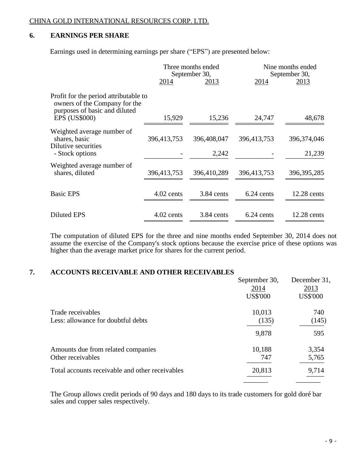# **6. EARNINGS PER SHARE**

Earnings used in determining earnings per share ("EPS") are presented below:

|                                                                                                         | Three months ended<br>September 30, |               |             | Nine months ended<br>September 30, |
|---------------------------------------------------------------------------------------------------------|-------------------------------------|---------------|-------------|------------------------------------|
|                                                                                                         | <u>2014</u>                         | <u> 2013 </u> | 2014        | <u>2013</u>                        |
| Profit for the period attributable to<br>owners of the Company for the<br>purposes of basic and diluted |                                     |               |             |                                    |
| <b>EPS (US\$000)</b>                                                                                    | 15,929                              | 15,236        | 24,747      | 48,678                             |
| Weighted average number of<br>shares, basic<br>Dilutive securities                                      | 396,413,753                         | 396,408,047   | 396,413,753 | 396,374,046                        |
| - Stock options                                                                                         |                                     | 2,242         |             | 21,239                             |
| Weighted average number of<br>shares, diluted                                                           | 396,413,753                         | 396,410,289   | 396,413,753 | 396, 395, 285                      |
| <b>Basic EPS</b>                                                                                        | $4.02$ cents                        | 3.84 cents    | 6.24 cents  | $12.28$ cents                      |
| <b>Diluted EPS</b>                                                                                      | $4.02$ cents                        | 3.84 cents    | 6.24 cents  | $12.28$ cents                      |

The computation of diluted EPS for the three and nine months ended September 30, 2014 does not assume the exercise of the Company's stock options because the exercise price of these options was higher than the average market price for shares for the current period.

### **7. ACCOUNTS RECEIVABLE AND OTHER RECEIVABLES**

|                                                 | September 30,<br>2014 | December 31,<br>2013 |
|-------------------------------------------------|-----------------------|----------------------|
|                                                 | <b>US\$'000</b>       | <b>US\$'000</b>      |
| Trade receivables                               | 10,013                | 740                  |
| Less: allowance for doubtful debts              | (135)                 | (145)                |
|                                                 | 9,878                 | 595                  |
| Amounts due from related companies              | 10,188                | 3,354                |
| Other receivables                               | 747                   | 5,765                |
| Total accounts receivable and other receivables | 20,813                | 9,714                |
|                                                 |                       |                      |

The Group allows credit periods of 90 days and 180 days to its trade customers for gold doré bar sales and copper sales respectively.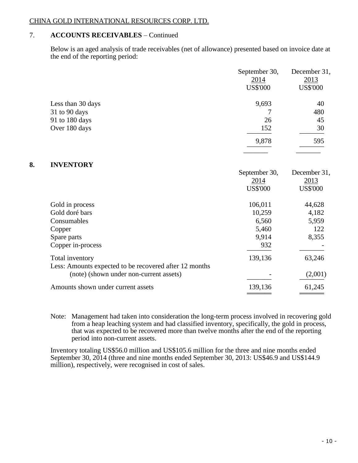# 7. **ACCOUNTS RECEIVABLES** – Continued

Below is an aged analysis of trade receivables (net of allowance) presented based on invoice date at the end of the reporting period:

|    |                                                        | September 30,<br>2014<br><b>US\$'000</b> | December 31,<br>2013<br><b>US\$'000</b> |
|----|--------------------------------------------------------|------------------------------------------|-----------------------------------------|
|    | Less than 30 days                                      | 9,693                                    | 40                                      |
|    | 31 to 90 days                                          | 7                                        | 480                                     |
|    | 91 to 180 days                                         | 26                                       | 45                                      |
|    | Over 180 days                                          | 152                                      | 30                                      |
|    |                                                        | 9,878                                    | 595                                     |
|    |                                                        |                                          |                                         |
| 8. | <b>INVENTORY</b>                                       | September 30,                            | December 31,                            |
|    |                                                        | <u>2014</u>                              | 2013                                    |
|    |                                                        | <b>US\$'000</b>                          | <b>US\$'000</b>                         |
|    | Gold in process                                        | 106,011                                  | 44,628                                  |
|    | Gold doré bars                                         | 10,259                                   | 4,182                                   |
|    | Consumables                                            | 6,560                                    | 5,959                                   |
|    | Copper                                                 | 5,460                                    | 122                                     |
|    | Spare parts                                            | 9,914                                    | 8,355                                   |
|    | Copper in-process                                      | 932                                      |                                         |
|    | Total inventory                                        | 139,136                                  | 63,246                                  |
|    | Less: Amounts expected to be recovered after 12 months |                                          |                                         |
|    | (note) (shown under non-current assets)                |                                          | (2,001)                                 |
|    | Amounts shown under current assets                     | 139,136                                  | 61,245                                  |
|    |                                                        |                                          |                                         |

Note: Management had taken into consideration the long-term process involved in recovering gold from a heap leaching system and had classified inventory, specifically, the gold in process, that was expected to be recovered more than twelve months after the end of the reporting period into non-current assets.

Inventory totaling US\$56.0 million and US\$105.6 million for the three and nine months ended September 30, 2014 (three and nine months ended September 30, 2013: US\$46.9 and US\$144.9 million), respectively, were recognised in cost of sales.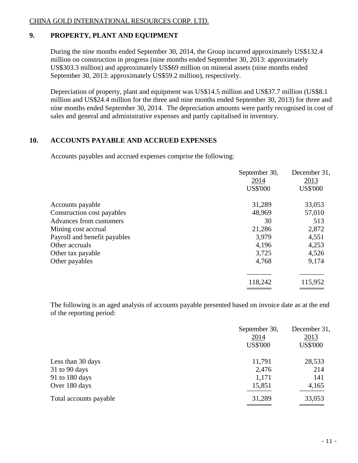# **9. PROPERTY, PLANT AND EQUIPMENT**

During the nine months ended September 30, 2014, the Group incurred approximately US\$132.4 million on construction in progress (nine months ended September 30, 2013: approximately US\$303.3 million) and approximately US\$69 million on mineral assets (nine months ended September 30, 2013: approximately US\$59.2 million), respectively.

Depreciation of property, plant and equipment was US\$14.5 million and US\$37.7 million (US\$8.1 million and US\$24.4 million for the three and nine months ended September 30, 2013) for three and nine months ended September 30, 2014. The depreciation amounts were partly recognised in cost of sales and general and administrative expenses and partly capitalised in inventory.

# **10. ACCOUNTS PAYABLE AND ACCRUED EXPENSES**

Accounts payables and accrued expenses comprise the following:

|                              | September 30,   | December 31,    |
|------------------------------|-----------------|-----------------|
|                              | 2014            | 2013            |
|                              | <b>US\$'000</b> | <b>US\$'000</b> |
| Accounts payable             | 31,289          | 33,053          |
| Construction cost payables   | 48,969          | 57,010          |
| Advances from customers      | 30              | 513             |
| Mining cost accrual          | 21,286          | 2,872           |
| Payroll and benefit payables | 3,979           | 4,551           |
| Other accruals               | 4,196           | 4,253           |
| Other tax payable            | 3,725           | 4,526           |
| Other payables               | 4,768           | 9,174           |
|                              |                 |                 |
|                              | 118,242         | 115,952         |

The following is an aged analysis of accounts payable presented based on invoice date as at the end of the reporting period:

|                        | September 30,<br>2014 | December 31,<br>2013 |
|------------------------|-----------------------|----------------------|
|                        | <b>US\$'000</b>       | <b>US\$'000</b>      |
| Less than 30 days      | 11,791                | 28,533               |
| $31$ to 90 days        | 2,476                 | 214                  |
| 91 to 180 days         | 1,171                 | 141                  |
| Over 180 days          | 15,851                | 4,165                |
| Total accounts payable | 31,289                | 33,053               |
|                        |                       |                      |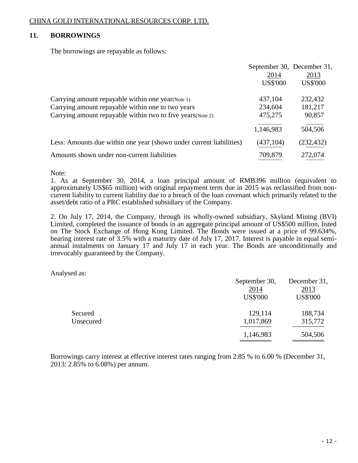# **11. BORROWINGS**

The borrowings are repayable as follows:

|                                                                     | September 30, December 31,<br>2014 | 2013            |
|---------------------------------------------------------------------|------------------------------------|-----------------|
|                                                                     | <b>US\$'000</b>                    | <b>US\$'000</b> |
| Carrying amount repayable within one year (Note 1)                  | 437,104                            | 232,432         |
| Carrying amount repayable within one to two years                   | 234,604                            | 181,217         |
| Carrying amount repayable within two to five years (Note 2)         | 475,275                            | 90,857          |
|                                                                     | 1,146,983                          | 504,506         |
| Less: Amounts due within one year (shown under current liabilities) | (437, 104)                         | (232, 432)      |
| Amounts shown under non-current liabilities                         | 709,879                            | 272,074         |

Note:

1. As at September 30, 2014, a loan principal amount of RMB396 million (equivalent to approximately US\$65 million) with original repayment term due in 2015 was reclassified from noncurrent liability to current liability due to a breach of the loan covenant which primarily related to the asset/debt ratio of a PRC established subsidiary of the Company.

2. On July 17, 2014, the Company, through its wholly-owned subsidiary, Skyland Mining (BVI) Limited, completed the issuance of bonds in an aggregate principal amount of US\$500 million, listed on The Stock Exchange of Hong Kong Limited. The Bonds were issued at a price of 99.634%, bearing interest rate of 3.5% with a maturity date of July 17, 2017. Interest is payable in equal semiannual instalments on January 17 and July 17 in each year. The Bonds are unconditionally and irrevocably guaranteed by the Company.

Analysed as:

|           | September 30,<br>2014 | December 31,<br>2013 |
|-----------|-----------------------|----------------------|
|           | <b>US\$'000</b>       | <b>US\$'000</b>      |
| Secured   | 129,114               | 188,734              |
| Unsecured | 1,017,869             | 315,772              |
|           | 1,146,983             | 504,506              |

Borrowings carry interest at effective interest rates ranging from 2.85 % to 6.00 % (December 31, 2013: 2.85% to 6.08%) per annum.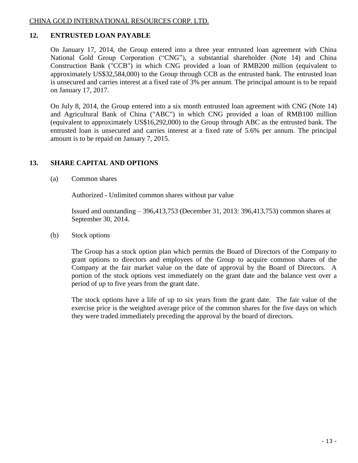# **12. ENTRUSTED LOAN PAYABLE**

On January 17, 2014, the Group entered into a three year entrusted loan agreement with China National Gold Group Corporation ("CNG"), a substantial shareholder (Note 14) and China Construction Bank ("CCB") in which CNG provided a loan of RMB200 million (equivalent to approximately US\$32,584,000) to the Group through CCB as the entrusted bank. The entrusted loan is unsecured and carries interest at a fixed rate of 3% per annum. The principal amount is to be repaid on January 17, 2017.

On July 8, 2014, the Group entered into a six month entrusted loan agreement with CNG (Note 14) and Agricultural Bank of China ("ABC") in which CNG provided a loan of RMB100 million (equivalent to approximately US\$16,292,000) to the Group through ABC as the entrusted bank. The entrusted loan is unsecured and carries interest at a fixed rate of 5.6% per annum. The principal amount is to be repaid on January 7, 2015.

# **13. SHARE CAPITAL AND OPTIONS**

(a) Common shares

Authorized - Unlimited common shares without par value

Issued and outstanding – 396,413,753 (December 31, 2013: 396,413,753) common shares at September 30, 2014.

(b) Stock options

The Group has a stock option plan which permits the Board of Directors of the Company to grant options to directors and employees of the Group to acquire common shares of the Company at the fair market value on the date of approval by the Board of Directors. A portion of the stock options vest immediately on the grant date and the balance vest over a period of up to five years from the grant date.

The stock options have a life of up to six years from the grant date. The fair value of the exercise price is the weighted average price of the common shares for the five days on which they were traded immediately preceding the approval by the board of directors.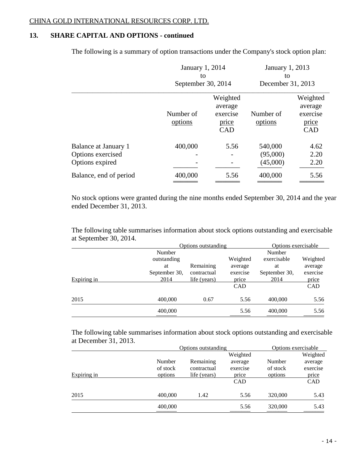# **13. SHARE CAPITAL AND OPTIONS - continued**

The following is a summary of option transactions under the Company's stock option plan:

|                                                              | January 1, 2014<br>to<br>September 30, 2014 |                                                        | January 1, 2013<br>to<br>December 31, 2013 |                                                        |
|--------------------------------------------------------------|---------------------------------------------|--------------------------------------------------------|--------------------------------------------|--------------------------------------------------------|
|                                                              |                                             |                                                        |                                            |                                                        |
|                                                              | Number of<br>options                        | Weighted<br>average<br>exercise<br>price<br><b>CAD</b> | Number of<br>options                       | Weighted<br>average<br>exercise<br>price<br><b>CAD</b> |
| Balance at January 1<br>Options exercised<br>Options expired | 400,000                                     | 5.56                                                   | 540,000<br>(95,000)<br>(45,000)            | 4.62<br>2.20<br>2.20                                   |
| Balance, end of period                                       | 400,000                                     | 5.56                                                   | 400,000                                    | 5.56                                                   |

No stock options were granted during the nine months ended September 30, 2014 and the year ended December 31, 2013.

The following table summarises information about stock options outstanding and exercisable at September 30, 2014.

|             | Options outstanding |              |            | Options exercisable |          |
|-------------|---------------------|--------------|------------|---------------------|----------|
|             | Number              |              | Number     |                     |          |
|             | outstanding         |              | Weighted   | exercisable         | Weighted |
|             | at                  | Remaining    | average    | at                  | average  |
|             | September 30,       | contractual  | exercise   | September 30,       | exercise |
| Expiring in | 2014                | life (years) | price      | 2014                | price    |
|             |                     |              | <b>CAD</b> |                     | CAD      |
| 2015        | 400,000             | 0.67         | 5.56       | 400,000             | 5.56     |
|             | 400,000             |              | 5.56       | 400,000             | 5.56     |

The following table summarises information about stock options outstanding and exercisable at December 31, 2013.

|             |          | Options outstanding |            |          | Options exercisable |
|-------------|----------|---------------------|------------|----------|---------------------|
|             |          |                     | Weighted   |          | Weighted            |
|             | Number   | Remaining           | average    | Number   | average             |
|             | of stock | contractual         | exercise   | of stock | exercise            |
| Expiring in | options  | life (years)        | price      | options  | price               |
|             |          |                     | <b>CAD</b> |          | CAD                 |
| 2015        | 400,000  | 1.42                | 5.56       | 320,000  | 5.43                |
|             | 400,000  |                     | 5.56       | 320,000  | 5.43                |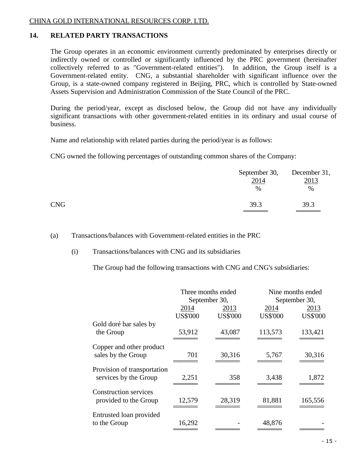# **14. RELATED PARTY TRANSACTIONS**

The Group operates in an economic environment currently predominated by enterprises directly or indirectly owned or controlled or significantly influenced by the PRC government (hereinafter collectively referred to as "Government-related entities"). In addition, the Group itself is a Government-related entity. CNG, a substantial shareholder with significant influence over the Group, is a state-owned company registered in Beijing, PRC, which is controlled by State-owned Assets Supervision and Administration Commission of the State Council of the PRC.

During the period/year, except as disclosed below, the Group did not have any individually significant transactions with other government-related entities in its ordinary and usual course of business.

Name and relationship with related parties during the period/year is as follows:

CNG owned the following percentages of outstanding common shares of the Company:

|            | 2014         | September 30, December 31,<br>2013 |  |
|------------|--------------|------------------------------------|--|
| <b>CNG</b> | $\%$<br>39.3 | %<br>39.3                          |  |

(a) Transactions/balances with Government-related entities in the PRC

### (i) Transactions/balances with CNG and its subsidiaries

The Group had the following transactions with CNG and CNG's subsidiaries:

|                                                       | Three months ended<br>September 30, |                         |                         | Nine months ended<br>September 30, |
|-------------------------------------------------------|-------------------------------------|-------------------------|-------------------------|------------------------------------|
|                                                       | 2014<br><b>US\$'000</b>             | 2013<br><b>US\$'000</b> | 2014<br><b>US\$'000</b> | 2013<br><b>US\$'000</b>            |
| Gold doré bar sales by<br>the Group                   | 53,912                              | 43,087                  | 113,573                 | 133,421                            |
| Copper and other product<br>sales by the Group        | 701                                 | 30,316                  | 5,767                   | 30,316                             |
| Provision of transportation<br>services by the Group  | 2,251                               | 358                     | 3,438                   | 1,872                              |
| <b>Construction services</b><br>provided to the Group | 12,579                              | 28,319                  | 81,881                  | 165,556                            |
| Entrusted loan provided<br>to the Group               | 16,292                              |                         | 48,876                  |                                    |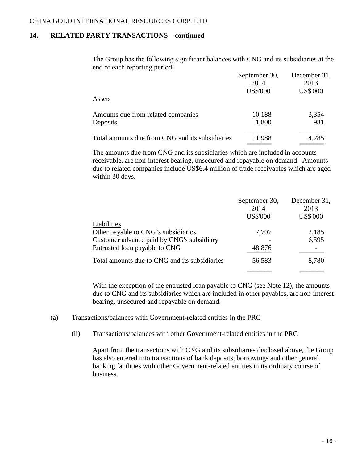# **14. RELATED PARTY TRANSACTIONS – continued**

The Group has the following significant balances with CNG and its subsidiaries at the end of each reporting period:

|                                                 | September 30,   | December 31,    |
|-------------------------------------------------|-----------------|-----------------|
|                                                 | 2014            | 2013            |
|                                                 | <b>US\$'000</b> | <b>US\$'000</b> |
| Assets                                          |                 |                 |
| Amounts due from related companies              | 10,188          | 3,354           |
| Deposits                                        | 1,800           | 931             |
| Total amounts due from CNG and its subsidiaries | 11,988          | 4,285           |
|                                                 |                 |                 |

The amounts due from CNG and its subsidiaries which are included in accounts receivable, are non-interest bearing, unsecured and repayable on demand. Amounts due to related companies include US\$6.4 million of trade receivables which are aged within 30 days.

|                                               | September 30,<br>2014<br><b>US\$'000</b> | December 31,<br>2013<br><b>US\$'000</b> |
|-----------------------------------------------|------------------------------------------|-----------------------------------------|
| Liabilities                                   |                                          |                                         |
| Other payable to CNG's subsidiaries           | 7,707                                    | 2,185                                   |
| Customer advance paid by CNG's subsidiary     |                                          | 6,595                                   |
| Entrusted loan payable to CNG                 | 48,876                                   |                                         |
| Total amounts due to CNG and its subsidiaries | 56,583                                   | 8,780                                   |
|                                               |                                          |                                         |

With the exception of the entrusted loan payable to CNG (see Note 12), the amounts due to CNG and its subsidiaries which are included in other payables, are non-interest bearing, unsecured and repayable on demand.

- (a) Transactions/balances with Government-related entities in the PRC
	- (ii) Transactions/balances with other Government-related entities in the PRC

Apart from the transactions with CNG and its subsidiaries disclosed above, the Group has also entered into transactions of bank deposits, borrowings and other general banking facilities with other Government-related entities in its ordinary course of business.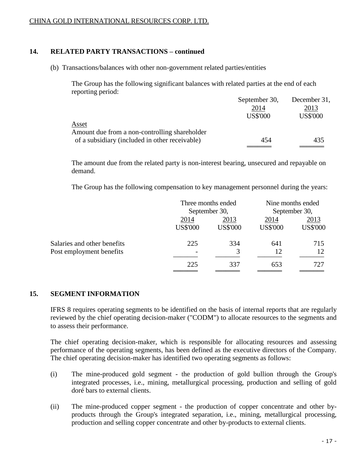### **14. RELATED PARTY TRANSACTIONS – continued**

(b) Transactions/balances with other non-government related parties/entities

The Group has the following significant balances with related parties at the end of each reporting period:

|                                                | September 30,   | December 31,    |
|------------------------------------------------|-----------------|-----------------|
|                                                | 2014            | 2013            |
|                                                | <b>US\$'000</b> | <b>US\$'000</b> |
| Asset                                          |                 |                 |
| Amount due from a non-controlling shareholder  |                 |                 |
| of a subsidiary (included in other receivable) | 454             | 435             |
|                                                |                 |                 |

The amount due from the related party is non-interest bearing, unsecured and repayable on demand.

The Group has the following compensation to key management personnel during the years:

|                             |                 | Three months ended |                 | Nine months ended |  |
|-----------------------------|-----------------|--------------------|-----------------|-------------------|--|
|                             |                 | September 30,      |                 | September 30,     |  |
|                             | 2014            | 2013               |                 | 2013              |  |
|                             | <b>US\$'000</b> | <b>US\$'000</b>    | <b>US\$'000</b> | <b>US\$'000</b>   |  |
| Salaries and other benefits | 225             | 334                | 641             | 715               |  |
| Post employment benefits    |                 | 3                  | 12              | 12                |  |
|                             | 225             | 337                | 653             | 727               |  |
|                             |                 |                    |                 |                   |  |

### **15. SEGMENT INFORMATION**

IFRS 8 requires operating segments to be identified on the basis of internal reports that are regularly reviewed by the chief operating decision-maker ("CODM") to allocate resources to the segments and to assess their performance.

The chief operating decision-maker, which is responsible for allocating resources and assessing performance of the operating segments, has been defined as the executive directors of the Company. The chief operating decision-maker has identified two operating segments as follows:

- (i) The mine-produced gold segment the production of gold bullion through the Group's integrated processes, i.e., mining, metallurgical processing, production and selling of gold doré bars to external clients.
- (ii) The mine-produced copper segment the production of copper concentrate and other byproducts through the Group's integrated separation, i.e., mining, metallurgical processing, production and selling copper concentrate and other by-products to external clients.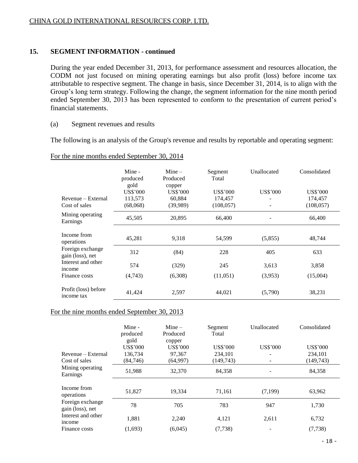# **15. SEGMENT INFORMATION - continued**

During the year ended December 31, 2013, for performance assessment and resources allocation, the CODM not just focused on mining operating earnings but also profit (loss) before income tax attributable to respective segment. The change in basis, since December 31, 2014, is to align with the Group's long term strategy. Following the change, the segment information for the nine month period ended September 30, 2013 has been represented to conform to the presentation of current period's financial statements.

### (a) Segment revenues and results

The following is an analysis of the Group's revenue and results by reportable and operating segment:

### For the nine months ended September 30, 2014

|                                      | Mine -<br>produced<br>gold | Mine $-$<br>Produced      | Segment<br>Total | Unallocated     | Consolidated    |
|--------------------------------------|----------------------------|---------------------------|------------------|-----------------|-----------------|
|                                      | US\$'000                   | copper<br><b>US\$'000</b> | US\$'000         | <b>US\$'000</b> | <b>US\$'000</b> |
| Revenue – External                   | 113,573                    | 60,884                    | 174,457          |                 | 174,457         |
| Cost of sales                        | (68,068)                   | (39,989)                  | (108, 057)       |                 | (108, 057)      |
| Mining operating<br>Earnings         | 45,505                     | 20,895                    | 66,400           |                 | 66,400          |
| Income from<br>operations            | 45,281                     | 9.318                     | 54,599           | (5,855)         | 48,744          |
| Foreign exchange<br>gain (loss), net | 312                        | (84)                      | 228              | 405             | 633             |
| Interest and other<br>income         | 574                        | (329)                     | 245              | 3,613           | 3,858           |
| Finance costs                        | (4,743)                    | (6,308)                   | (11,051)         | (3,953)         | (15,004)        |
| Profit (loss) before<br>income tax   | 41,424                     | 2,597                     | 44,021           | (5,790)         | 38,231          |

### For the nine months ended September 30, 2013

|                                      | Mine -<br>produced<br>gold | $Mine -$<br>Produced<br>copper | Segment<br>Total | Unallocated     | Consolidated    |
|--------------------------------------|----------------------------|--------------------------------|------------------|-----------------|-----------------|
|                                      | <b>US\$'000</b>            | US\$'000                       | <b>US\$'000</b>  | <b>US\$'000</b> | <b>US\$'000</b> |
| Revenue – External                   | 136.734                    | 97,367                         | 234,101          |                 | 234.101         |
| Cost of sales                        | (84,746)                   | (64,997)                       | (149, 743)       |                 | (149, 743)      |
| Mining operating<br>Earnings         | 51,988                     | 32,370                         | 84,358           |                 | 84,358          |
| Income from<br>operations            | 51,827                     | 19,334                         | 71,161           | (7,199)         | 63,962          |
| Foreign exchange<br>gain (loss), net | 78                         | 705                            | 783              | 947             | 1,730           |
| Interest and other<br>income         | 1,881                      | 2,240                          | 4,121            | 2,611           | 6,732           |
| Finance costs                        | (1,693)                    | (6,045)                        | (7, 738)         |                 | (7, 738)        |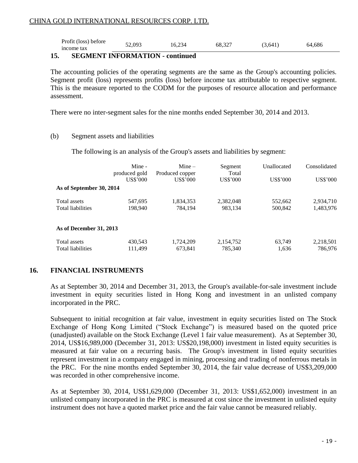| Profit (loss) before | 52,093 | 16,234 | 68,327 |         |        |
|----------------------|--------|--------|--------|---------|--------|
| income tax           |        |        |        | (3,641) | 64,686 |

# **15. SEGMENT INFORMATION - continued**

The accounting policies of the operating segments are the same as the Group's accounting policies. Segment profit (loss) represents profits (loss) before income tax attributable to respective segment. This is the measure reported to the CODM for the purposes of resource allocation and performance assessment.

There were no inter-segment sales for the nine months ended September 30, 2014 and 2013.

### (b) Segment assets and liabilities

The following is an analysis of the Group's assets and liabilities by segment:

|                          | Mine -        | $Mine -$        | Segment         | Unallocated     | Consolidated    |
|--------------------------|---------------|-----------------|-----------------|-----------------|-----------------|
|                          | produced gold | Produced copper | Total           |                 |                 |
|                          | US\$'000      | US\$'000        | <b>US\$'000</b> | <b>US\$'000</b> | <b>US\$'000</b> |
| As of September 30, 2014 |               |                 |                 |                 |                 |
| Total assets             | 547.695       | 1,834,353       | 2,382,048       | 552,662         | 2,934,710       |
| <b>Total liabilities</b> | 198,940       | 784,194         | 983,134         | 500,842         | 1,483,976       |
| As of December 31, 2013  |               |                 |                 |                 |                 |
| Total assets             | 430.543       | 1,724,209       | 2,154,752       | 63,749          | 2,218,501       |
| <b>Total liabilities</b> | 111,499       | 673,841         | 785,340         | 1,636           | 786.976         |

# **16. FINANCIAL INSTRUMENTS**

As at September 30, 2014 and December 31, 2013, the Group's available-for-sale investment include investment in equity securities listed in Hong Kong and investment in an unlisted company incorporated in the PRC.

Subsequent to initial recognition at fair value, investment in equity securities listed on The Stock Exchange of Hong Kong Limited ("Stock Exchange") is measured based on the quoted price (unadjusted) available on the Stock Exchange (Level 1 fair value measurement). As at September 30, 2014, US\$16,989,000 (December 31, 2013: US\$20,198,000) investment in listed equity securities is measured at fair value on a recurring basis. The Group's investment in listed equity securities represent investment in a company engaged in mining, processing and trading of nonferrous metals in the PRC. For the nine months ended September 30, 2014, the fair value decrease of US\$3,209,000 was recorded in other comprehensive income.

As at September 30, 2014, US\$1,629,000 (December 31, 2013: US\$1,652,000) investment in an unlisted company incorporated in the PRC is measured at cost since the investment in unlisted equity instrument does not have a quoted market price and the fair value cannot be measured reliably.